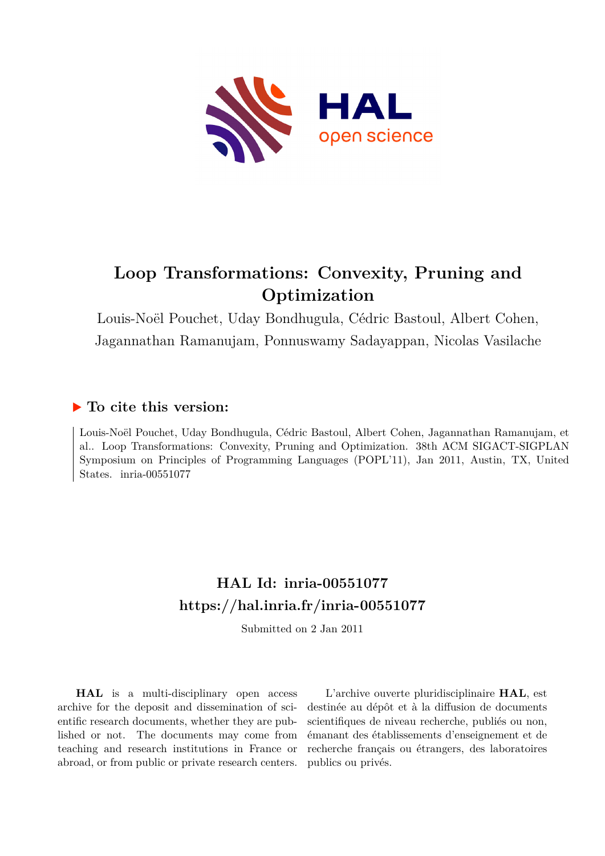

# **Loop Transformations: Convexity, Pruning and Optimization**

Louis-Noël Pouchet, Uday Bondhugula, Cédric Bastoul, Albert Cohen, Jagannathan Ramanujam, Ponnuswamy Sadayappan, Nicolas Vasilache

## **To cite this version:**

Louis-Noël Pouchet, Uday Bondhugula, Cédric Bastoul, Albert Cohen, Jagannathan Ramanujam, et al.. Loop Transformations: Convexity, Pruning and Optimization. 38th ACM SIGACT-SIGPLAN Symposium on Principles of Programming Languages (POPL'11), Jan 2011, Austin, TX, United States. inria-00551077

## **HAL Id: inria-00551077 <https://hal.inria.fr/inria-00551077>**

Submitted on 2 Jan 2011

**HAL** is a multi-disciplinary open access archive for the deposit and dissemination of scientific research documents, whether they are published or not. The documents may come from teaching and research institutions in France or abroad, or from public or private research centers.

L'archive ouverte pluridisciplinaire **HAL**, est destinée au dépôt et à la diffusion de documents scientifiques de niveau recherche, publiés ou non, émanant des établissements d'enseignement et de recherche français ou étrangers, des laboratoires publics ou privés.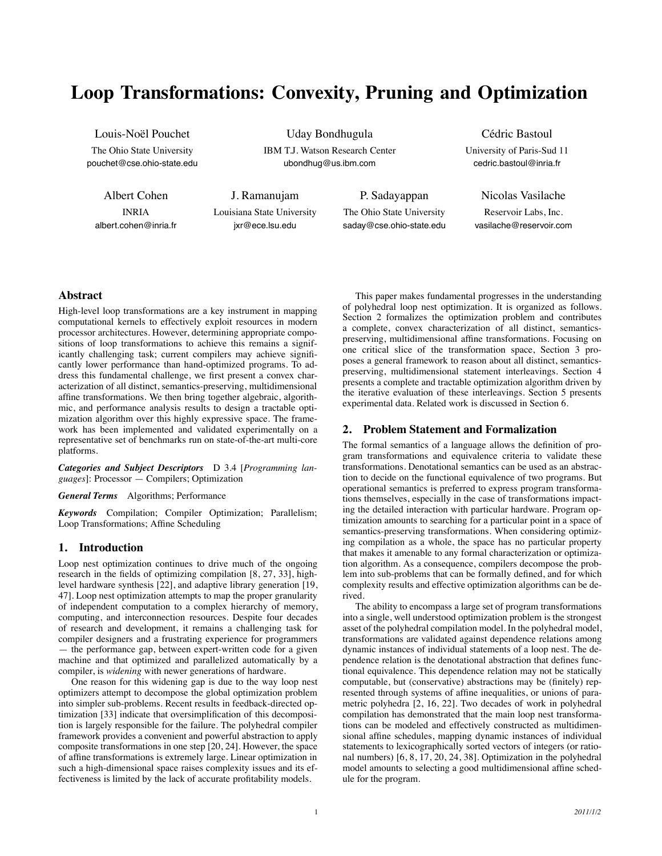## **Loop Transformations: Convexity, Pruning and Optimization**

Louis-Noël Pouchet

The Ohio State University pouchet@cse.ohio-state.edu

Albert Cohen INRIA albert.cohen@inria.fr

Uday Bondhugula IBM T.J. Watson Research Center

ubondhug@us.ibm.com

J. Ramanujam Louisiana State University jxr@ece.lsu.edu

P. Sadayappan

The Ohio State University saday@cse.ohio-state.edu

Cédric Bastoul University of Paris-Sud 11 cedric.bastoul@inria.fr

Nicolas Vasilache Reservoir Labs, Inc. vasilache@reservoir.com

## **Abstract**

High-level loop transformations are a key instrument in mapping computational kernels to effectively exploit resources in modern processor architectures. However, determining appropriate compositions of loop transformations to achieve this remains a significantly challenging task; current compilers may achieve significantly lower performance than hand-optimized programs. To address this fundamental challenge, we first present a convex characterization of all distinct, semantics-preserving, multidimensional affine transformations. We then bring together algebraic, algorithmic, and performance analysis results to design a tractable optimization algorithm over this highly expressive space. The framework has been implemented and validated experimentally on a representative set of benchmarks run on state-of-the-art multi-core platforms.

*Categories and Subject Descriptors* D 3.4 [*Programming languages*]: Processor — Compilers; Optimization

*General Terms* Algorithms; Performance

*Keywords* Compilation; Compiler Optimization; Parallelism; Loop Transformations; Affine Scheduling

## **1. Introduction**

Loop nest optimization continues to drive much of the ongoing research in the fields of optimizing compilation [8, 27, 33], highlevel hardware synthesis [22], and adaptive library generation [19, 47]. Loop nest optimization attempts to map the proper granularity of independent computation to a complex hierarchy of memory, computing, and interconnection resources. Despite four decades of research and development, it remains a challenging task for compiler designers and a frustrating experience for programmers — the performance gap, between expert-written code for a given machine and that optimized and parallelized automatically by a compiler, is *widening* with newer generations of hardware.

One reason for this widening gap is due to the way loop nest optimizers attempt to decompose the global optimization problem into simpler sub-problems. Recent results in feedback-directed optimization [33] indicate that oversimplification of this decomposition is largely responsible for the failure. The polyhedral compiler framework provides a convenient and powerful abstraction to apply composite transformations in one step [20, 24]. However, the space of affine transformations is extremely large. Linear optimization in such a high-dimensional space raises complexity issues and its effectiveness is limited by the lack of accurate profitability models.

This paper makes fundamental progresses in the understanding of polyhedral loop nest optimization. It is organized as follows. Section 2 formalizes the optimization problem and contributes a complete, convex characterization of all distinct, semanticspreserving, multidimensional affine transformations. Focusing on one critical slice of the transformation space, Section 3 proposes a general framework to reason about all distinct, semanticspreserving, multidimensional statement interleavings. Section 4 presents a complete and tractable optimization algorithm driven by the iterative evaluation of these interleavings. Section 5 presents experimental data. Related work is discussed in Section 6.

## **2. Problem Statement and Formalization**

The formal semantics of a language allows the definition of program transformations and equivalence criteria to validate these transformations. Denotational semantics can be used as an abstraction to decide on the functional equivalence of two programs. But operational semantics is preferred to express program transformations themselves, especially in the case of transformations impacting the detailed interaction with particular hardware. Program optimization amounts to searching for a particular point in a space of semantics-preserving transformations. When considering optimizing compilation as a whole, the space has no particular property that makes it amenable to any formal characterization or optimization algorithm. As a consequence, compilers decompose the problem into sub-problems that can be formally defined, and for which complexity results and effective optimization algorithms can be derived.

The ability to encompass a large set of program transformations into a single, well understood optimization problem is the strongest asset of the polyhedral compilation model. In the polyhedral model, transformations are validated against dependence relations among dynamic instances of individual statements of a loop nest. The dependence relation is the denotational abstraction that defines functional equivalence. This dependence relation may not be statically computable, but (conservative) abstractions may be (finitely) represented through systems of affine inequalities, or unions of parametric polyhedra [2, 16, 22]. Two decades of work in polyhedral compilation has demonstrated that the main loop nest transformations can be modeled and effectively constructed as multidimensional affine schedules, mapping dynamic instances of individual statements to lexicographically sorted vectors of integers (or rational numbers) [6, 8, 17, 20, 24, 38]. Optimization in the polyhedral model amounts to selecting a good multidimensional affine schedule for the program.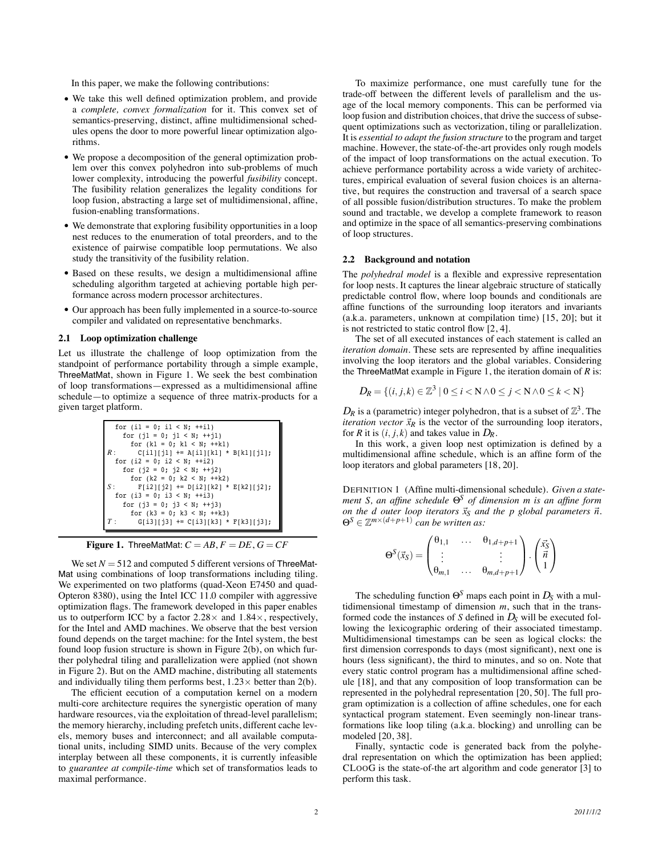In this paper, we make the following contributions:

- We take this well defined optimization problem, and provide a *complete, convex formalization* for it. This convex set of semantics-preserving, distinct, affine multidimensional schedules opens the door to more powerful linear optimization algorithms.
- We propose a decomposition of the general optimization problem over this convex polyhedron into sub-problems of much lower complexity, introducing the powerful *fusibility* concept. The fusibility relation generalizes the legality conditions for loop fusion, abstracting a large set of multidimensional, affine, fusion-enabling transformations.
- We demonstrate that exploring fusibility opportunities in a loop nest reduces to the enumeration of total preorders, and to the existence of pairwise compatible loop permutations. We also study the transitivity of the fusibility relation.
- Based on these results, we design a multidimensional affine scheduling algorithm targeted at achieving portable high performance across modern processor architectures.
- Our approach has been fully implemented in a source-to-source compiler and validated on representative benchmarks.

#### **2.1 Loop optimization challenge**

Let us illustrate the challenge of loop optimization from the standpoint of performance portability through a simple example, ThreeMatMat, shown in Figure 1. We seek the best combination of loop transformations—expressed as a multidimensional affine schedule—to optimize a sequence of three matrix-products for a given target platform.

| R:<br>$S$ : |
|-------------|

**Figure 1.** ThreeMatMat:  $C = AB$ ,  $F = DE$ ,  $G = CF$ 

We set  $N = 512$  and computed 5 different versions of ThreeMat-Mat using combinations of loop transformations including tiling. We experimented on two platforms (quad-Xeon E7450 and quad-Opteron 8380), using the Intel ICC 11.0 compiler with aggressive optimization flags. The framework developed in this paper enables us to outperform ICC by a factor  $2.28 \times$  and  $1.84 \times$ , respectively, for the Intel and AMD machines. We observe that the best version found depends on the target machine: for the Intel system, the best found loop fusion structure is shown in Figure 2(b), on which further polyhedral tiling and parallelization were applied (not shown in Figure 2). But on the AMD machine, distributing all statements and individually tiling them performs best,  $1.23 \times$  better than 2(b).

The efficient eecution of a computation kernel on a modern multi-core architecture requires the synergistic operation of many hardware resources, via the exploitation of thread-level parallelism; the memory hierarchy, including prefetch units, different cache levels, memory buses and interconnect; and all available computational units, including SIMD units. Because of the very complex interplay between all these components, it is currently infeasible to *guarantee at compile-time* which set of transformatios leads to maximal performance.

To maximize performance, one must carefully tune for the trade-off between the different levels of parallelism and the usage of the local memory components. This can be performed via loop fusion and distribution choices, that drive the success of subsequent optimizations such as vectorization, tiling or parallelization. It is *essential to adapt the fusion structure* to the program and target machine. However, the state-of-the-art provides only rough models of the impact of loop transformations on the actual execution. To achieve performance portability across a wide variety of architectures, empirical evaluation of several fusion choices is an alternative, but requires the construction and traversal of a search space of all possible fusion/distribution structures. To make the problem sound and tractable, we develop a complete framework to reason and optimize in the space of all semantics-preserving combinations of loop structures.

#### **2.2 Background and notation**

The *polyhedral model* is a flexible and expressive representation for loop nests. It captures the linear algebraic structure of statically predictable control flow, where loop bounds and conditionals are affine functions of the surrounding loop iterators and invariants (a.k.a. parameters, unknown at compilation time) [15, 20]; but it is not restricted to static control flow [2, 4].

The set of all executed instances of each statement is called an *iteration domain*. These sets are represented by affine inequalities involving the loop iterators and the global variables. Considering the ThreeMatMat example in Figure 1, the iteration domain of *R* is:

$$
D_R = \{(i, j, k) \in \mathbb{Z}^3 \mid 0 \le i < N \land 0 \le j < N \land 0 \le k < N\}
$$

 $D_R$  is a (parametric) integer polyhedron, that is a subset of  $\mathbb{Z}^3$ . The *iteration vector*  $\vec{x}_R$  is the vector of the surrounding loop iterators, for *R* it is  $(i, j, k)$  and takes value in  $D_R$ .

In this work, a given loop nest optimization is defined by a multidimensional affine schedule, which is an affine form of the loop iterators and global parameters [18, 20].

DEFINITION 1 (Affine multi-dimensional schedule). *Given a statement S, an affine schedule* O*<sup>S</sup> of dimension m is an affine form on the d outer loop iterators*  $\vec{x}_s$  *and the p global parameters*  $\vec{n}$ *.*  $\Theta^{S} \in \mathbb{Z}^{m \times (d+p+1)}$  *can be written as:* 

$$
\Theta^{S}(\vec{x}_{S}) = \begin{pmatrix} \theta_{1,1} & \dots & \theta_{1,d+p+1} \\ \vdots & & \vdots \\ \theta_{m,1} & \dots & \theta_{m,d+p+1} \end{pmatrix} \cdot \begin{pmatrix} \vec{x}_{S} \\ \vec{n} \\ 1 \end{pmatrix}
$$

The scheduling function  $\Theta^S$  maps each point in  $D_S$  with a multidimensional timestamp of dimension *m*, such that in the transformed code the instances of  $S$  defined in  $D_S$  will be executed following the lexicographic ordering of their associated timestamp. Multidimensional timestamps can be seen as logical clocks: the first dimension corresponds to days (most significant), next one is hours (less significant), the third to minutes, and so on. Note that every static control program has a multidimensional affine schedule [18], and that any composition of loop transformation can be represented in the polyhedral representation [20, 50]. The full program optimization is a collection of affine schedules, one for each syntactical program statement. Even seemingly non-linear transformations like loop tiling (a.k.a. blocking) and unrolling can be modeled [20, 38].

Finally, syntactic code is generated back from the polyhedral representation on which the optimization has been applied; CLOOG is the state-of-the art algorithm and code generator [3] to perform this task.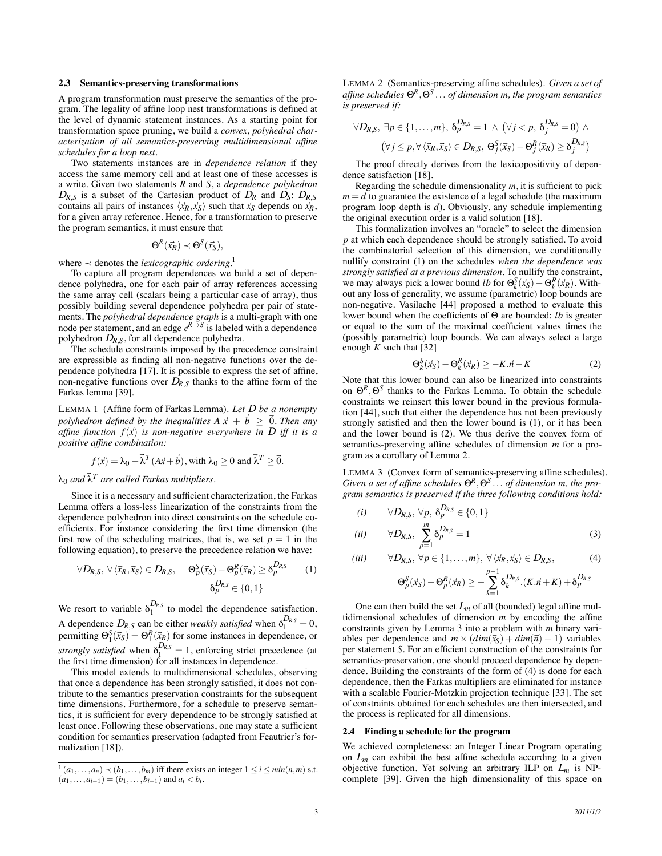#### **2.3 Semantics-preserving transformations**

A program transformation must preserve the semantics of the program. The legality of affine loop nest transformations is defined at the level of dynamic statement instances. As a starting point for transformation space pruning, we build a *convex, polyhedral characterization of all semantics-preserving multidimensional affine schedules for a loop nest*.

Two statements instances are in *dependence relation* if they access the same memory cell and at least one of these accesses is a write. Given two statements *R* and *S*, a *dependence polyhedron*  $D_{R,S}$  is a subset of the Cartesian product of  $D_R$  and  $D_S$ :  $D_{R,S}$ contains all pairs of instances  $\langle \vec{x}_R, \vec{x}_S \rangle$  such that  $\vec{x}_S$  depends on  $\vec{x}_R$ , for a given array reference. Hence, for a transformation to preserve the program semantics, it must ensure that

$$
\Theta^R(\vec{x_R}) \prec \Theta^S(\vec{x_S}),
$$

where  $\prec$  denotes the *lexicographic ordering*<sup>1</sup>

To capture all program dependences we build a set of dependence polyhedra, one for each pair of array references accessing the same array cell (scalars being a particular case of array), thus possibly building several dependence polyhedra per pair of statements. The *polyhedral dependence graph* is a multi-graph with one node per statement, and an edge  $e^{R\rightarrow S}$  is labeled with a dependence polyhedron <sup>D</sup>*R*,*S*, for all dependence polyhedra.

The schedule constraints imposed by the precedence constraint are expressible as finding all non-negative functions over the dependence polyhedra [17]. It is possible to express the set of affine, non-negative functions over  $D_{R,S}$  thanks to the affine form of the Farkas lemma [39].

LEMMA 1 (Affine form of Farkas Lemma). *Let* D *be a nonempty polyhedron defined by the inequalities A*  $\vec{x} + \vec{b} \geq \vec{0}$ *. Then any affine function*  $f(\vec{x})$  *is non-negative everywhere in*  $D$  *iff it is a positive affine combination:*

$$
f(\vec{x}) = \lambda_0 + \vec{\lambda}^T (A\vec{x} + \vec{b}),
$$
 with  $\lambda_0 \ge 0$  and  $\vec{\lambda}^T \ge \vec{0}.$ 

 $\lambda_0$  and  $\vec{\lambda}^T$  are called Farkas multipliers.

Since it is a necessary and sufficient characterization, the Farkas Lemma offers a loss-less linearization of the constraints from the dependence polyhedron into direct constraints on the schedule coefficients. For instance considering the first time dimension (the first row of the scheduling matrices, that is, we set  $p = 1$  in the following equation), to preserve the precedence relation we have:

$$
\forall D_{R,S}, \ \forall \langle \vec{x}_R, \vec{x}_S \rangle \in D_{R,S}, \quad \Theta_p^S(\vec{x}_S) - \Theta_p^R(\vec{x}_R) \ge \delta_p^{D_{R,S}} \qquad (1)
$$

$$
\delta_p^{D_{R,S}} \in \{0, 1\}
$$

We resort to variable  $\delta_1^{D_{R,S}}$  to model the dependence satisfaction. A dependence  $D_{R,S}$  can be either *weakly satisfied* when  $\delta_1^{D_{R,S}} = 0$ , permitting  $\Theta_1^S(\vec{x}_S) = \Theta_1^R(\vec{x}_R)$  for some instances in dependence, or *strongly satisfied* when  $\delta_1^{D_{R,S}} = 1$ , enforcing strict precedence (at the first time dimension) for all instances in dependence.

This model extends to multidimensional schedules, observing that once a dependence has been strongly satisfied, it does not contribute to the semantics preservation constraints for the subsequent time dimensions. Furthermore, for a schedule to preserve semantics, it is sufficient for every dependence to be strongly satisfied at least once. Following these observations, one may state a sufficient condition for semantics preservation (adapted from Feautrier's formalization [18]).

LEMMA 2 (Semantics-preserving affine schedules). *Given a set of affine schedules*  $\Theta^R$ ,  $\Theta^S$ ... *of dimension m, the program semantics is preserved if:*

$$
\forall D_{R,S}, \exists p \in \{1,\ldots,m\}, \ \delta_p^{D_{R,S}} = 1 \ \land \ (\forall j < p, \ \delta_j^{D_{R,S}} = 0) \ \land \\ (\forall j \leq p, \forall \langle \vec{x}_R, \vec{x}_S \rangle \in D_{R,S}, \ \Theta_j^S(\vec{x}_S) - \Theta_j^R(\vec{x}_R) \geq \delta_j^{D_{R,S}})
$$

The proof directly derives from the lexicopositivity of dependence satisfaction [18].

Regarding the schedule dimensionality *m*, it is sufficient to pick  $m = d$  to guarantee the existence of a legal schedule (the maximum program loop depth is *d*). Obviously, any schedule implementing the original execution order is a valid solution [18].

This formalization involves an "oracle" to select the dimension *p* at which each dependence should be strongly satisfied. To avoid the combinatorial selection of this dimension, we conditionally nullify constraint (1) on the schedules *when the dependence was strongly satisfied at a previous dimension*. To nullify the constraint, we may always pick a lower bound *lb* for  $\Theta_k^S(\vec{x}_S) - \Theta_k^R(\vec{x}_R)$ . Without any loss of generality, we assume (parametric) loop bounds are non-negative. Vasilache [44] proposed a method to evaluate this lower bound when the coefficients of O are bounded: *lb* is greater or equal to the sum of the maximal coefficient values times the (possibly parametric) loop bounds. We can always select a large enough  $K$  such that [32]

$$
\Theta_k^S(\vec{x}_S) - \Theta_k^R(\vec{x}_R) \ge -K \cdot \vec{n} - K \tag{2}
$$

Note that this lower bound can also be linearized into constraints on  $\Theta^R$ ,  $\Theta^S$  thanks to the Farkas Lemma. To obtain the schedule constraints we reinsert this lower bound in the previous formulation [44], such that either the dependence has not been previously strongly satisfied and then the lower bound is (1), or it has been and the lower bound is (2). We thus derive the convex form of semantics-preserving affine schedules of dimension *m* for a program as a corollary of Lemma 2.

LEMMA 3 (Convex form of semantics-preserving affine schedules). *Given a set of affine schedules*  $\Theta^R$ ,  $\Theta^S$ ... *of dimension m, the program semantics is preserved if the three following conditions hold:*

(i) 
$$
\forall D_{R,S}, \forall p, \delta_p^{D_{R,S}} \in \{0, 1\}
$$
  
\n(ii)  $\forall D_{R,S}, \sum_{p=1}^{m} \delta_p^{D_{R,S}} = 1$  (3)

$$
(iii) \qquad \forall D_{R,S}, \,\forall p \in \{1,\ldots,m\},\,\forall \langle \vec{x}_R, \vec{x}_S \rangle \in D_{R,S},\tag{4}
$$

$$
\Theta_p^S(\vec{x}_S) - \Theta_p^R(\vec{x}_R) \ge -\sum_{k=1}^{p-1} \delta_k^{D_{R,S}} (K.\vec{n} + K) + \delta_p^{D_{R,S}}
$$

One can then build the set  $L_m$  of all (bounded) legal affine multidimensional schedules of dimension *m* by encoding the affine constraints given by Lemma 3 into a problem with *m* binary variables per dependence and  $m \times (dim(\vec{x}_S) + dim(\vec{n}) + 1)$  variables per statement *S*. For an efficient construction of the constraints for semantics-preservation, one should proceed dependence by dependence. Building the constraints of the form of (4) is done for each dependence, then the Farkas multipliers are eliminated for instance with a scalable Fourier-Motzkin projection technique [33]. The set of constraints obtained for each schedules are then intersected, and the process is replicated for all dimensions.

#### **2.4 Finding a schedule for the program**

We achieved completeness: an Integer Linear Program operating on  $L_m$  can exhibit the best affine schedule according to a given objective function. Yet solving an arbitrary ILP on <sup>L</sup>*m* is NPcomplete [39]. Given the high dimensionality of this space on

 $1(a_1,...,a_n) \prec (b_1,...,b_m)$  iff there exists an integer  $1 \le i \le min(n,m)$  s.t.  $(a_1, \ldots, a_{i-1}) = (b_1, \ldots, b_{i-1})$  and  $a_i < b_i$ .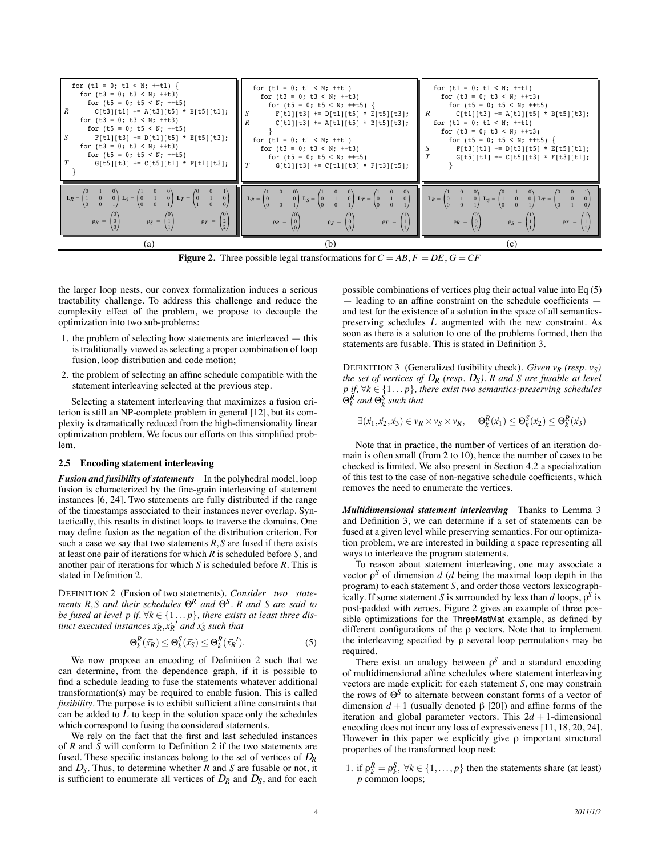

**Figure 2.** Three possible legal transformations for  $C = AB$ ,  $F = DE$ ,  $G = CF$ 

the larger loop nests, our convex formalization induces a serious tractability challenge. To address this challenge and reduce the complexity effect of the problem, we propose to decouple the optimization into two sub-problems:

- 1. the problem of selecting how statements are interleaved this is traditionally viewed as selecting a proper combination of loop fusion, loop distribution and code motion;
- 2. the problem of selecting an affine schedule compatible with the statement interleaving selected at the previous step.

Selecting a statement interleaving that maximizes a fusion criterion is still an NP-complete problem in general [12], but its complexity is dramatically reduced from the high-dimensionality linear optimization problem. We focus our efforts on this simplified problem.

#### **2.5 Encoding statement interleaving**

*Fusion and fusibility of statements* In the polyhedral model, loop fusion is characterized by the fine-grain interleaving of statement instances [6, 24]. Two statements are fully distributed if the range of the timestamps associated to their instances never overlap. Syntactically, this results in distinct loops to traverse the domains. One may define fusion as the negation of the distribution criterion. For such a case we say that two statements *R*,*S* are fused if there exists at least one pair of iterations for which *R* is scheduled before *S*, and another pair of iterations for which *S* is scheduled before *R*. This is stated in Definition 2.

DEFINITION 2 (Fusion of two statements). *Consider two statements*  $R$ ,*S* and their schedules  $\Theta^R$  and  $\Theta^S$ . R and *S* are said to *be fused at level p if,*  $\forall k \in \{1...p\}$ *, there exists at least three distinct executed instances*  $\vec{x_R}, \vec{x_R}^\prime$  *and*  $\vec{x_S}$  *such that* 

$$
\Theta_k^R(\vec{x_R}) \le \Theta_k^S(\vec{x_S}) \le \Theta_k^R(\vec{x_R}'). \tag{5}
$$

We now propose an encoding of Definition 2 such that we can determine, from the dependence graph, if it is possible to find a schedule leading to fuse the statements whatever additional transformation(s) may be required to enable fusion. This is called *fusibility*. The purpose is to exhibit sufficient affine constraints that can be added to  $\hat{L}$  to keep in the solution space only the schedules which correspond to fusing the considered statements.

We rely on the fact that the first and last scheduled instances of *R* and *S* will conform to Definition 2 if the two statements are fused. These specific instances belong to the set of vertices of <sup>D</sup>*R* and  $D_S$ . Thus, to determine whether  $R$  and  $S$  are fusable or not, it is sufficient to enumerate all vertices of  $D_R$  and  $D_S$ , and for each possible combinations of vertices plug their actual value into Eq (5) — leading to an affine constraint on the schedule coefficients and test for the existence of a solution in the space of all semanticspreserving schedules L augmented with the new constraint. As soon as there is a solution to one of the problems formed, then the statements are fusable. This is stated in Definition 3.

DEFINITION 3 (Generalized fusibility check). *Given v<sub>R</sub>* (resp.  $v_S$ ) *the set of vertices of* <sup>D</sup>*<sup>R</sup> (resp.* <sup>D</sup>*S). R and S are fusable at level p if,* ∀*k* ∈ {1... *p*}*, there exist two semantics-preserving schedules*  $\Theta_k^R$  and  $\Theta_k^S$  such that

 $\exists (\vec{x}_1, \vec{x}_2, \vec{x}_3) \in v_R \times v_S \times v_R, \quad \Theta_k^R(\vec{x}_1) \leq \Theta_k^S(\vec{x}_2) \leq \Theta_k^R(\vec{x}_3)$ 

Note that in practice, the number of vertices of an iteration domain is often small (from 2 to 10), hence the number of cases to be checked is limited. We also present in Section 4.2 a specialization of this test to the case of non-negative schedule coefficients, which removes the need to enumerate the vertices.

*Multidimensional statement interleaving* Thanks to Lemma 3 and Definition 3, we can determine if a set of statements can be fused at a given level while preserving semantics. For our optimization problem, we are interested in building a space representing all ways to interleave the program statements.

To reason about statement interleaving, one may associate a vector  $\rho^S$  of dimension *d* (*d* being the maximal loop depth in the program) to each statement *S*, and order those vectors lexicographically. If some statement *S* is surrounded by less than *d* loops,  $\rho^S$  is post-padded with zeroes. Figure 2 gives an example of three possible optimizations for the ThreeMatMat example, as defined by different configurations of the  $\rho$  vectors. Note that to implement the interleaving specified by  $\rho$  several loop permutations may be required

There exist an analogy between  $\rho^S$  and a standard encoding of multidimensional affine schedules where statement interleaving vectors are made explicit: for each statement *S*, one may constrain the rows of  $\Theta^S$  to alternate between constant forms of a vector of dimension  $d + 1$  (usually denoted  $\beta$  [20]) and affine forms of the iteration and global parameter vectors. This  $2d + 1$ -dimensional encoding does not incur any loss of expressiveness [11, 18, 20, 24]. However in this paper we explicitly give  $\rho$  important structural properties of the transformed loop nest:

1. if  $\rho_k^R = \rho_k^S$ ,  $\forall k \in \{1, ..., p\}$  then the statements share (at least) *p* common loops;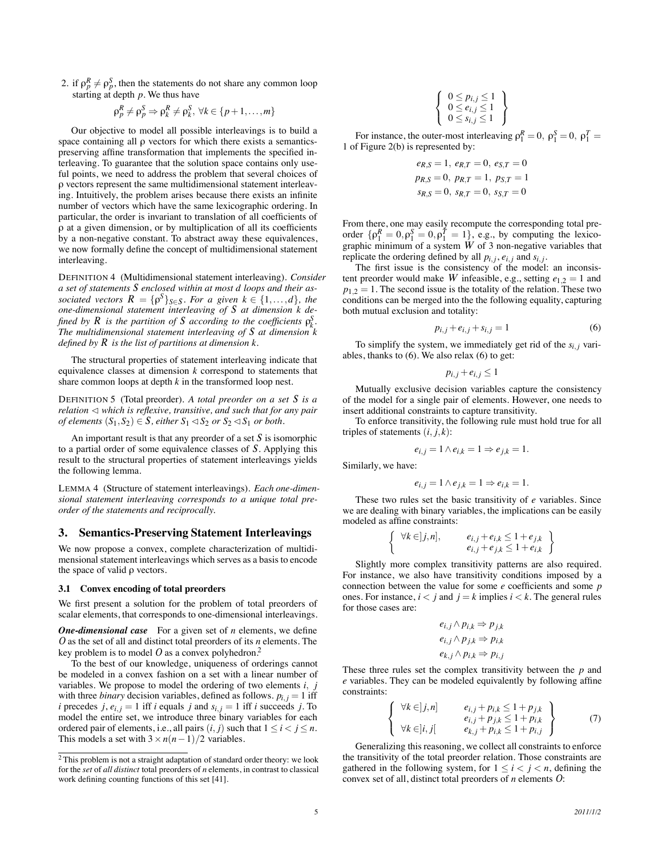2. if  $\rho_p^R \neq \rho_p^S$ , then the statements do not share any common loop starting at depth *p*. We thus have

$$
\rho_p^R \neq \rho_p^S \Rightarrow \rho_k^R \neq \rho_k^S, \ \forall k \in \{p+1,\ldots,m\}
$$

Our objective to model all possible interleavings is to build a space containing all  $\rho$  vectors for which there exists a semanticspreserving affine transformation that implements the specified interleaving. To guarantee that the solution space contains only useful points, we need to address the problem that several choices of  $\rho$  vectors represent the same multidimensional statement interleaving. Intuitively, the problem arises because there exists an infinite number of vectors which have the same lexicographic ordering. In particular, the order is invariant to translation of all coefficients of  $\rho$  at a given dimension, or by multiplication of all its coefficients by a non-negative constant. To abstract away these equivalences, we now formally define the concept of multidimensional statement interleaving.

DEFINITION 4 (Multidimensional statement interleaving). *Consider a set of statements* S *enclosed within at most d loops and their associated vectors*  $R = \{\rho^S\}_{S \in S}$ *. For a given*  $k \in \{1, ..., d\}$ *, the one-dimensional statement interleaving of* S *at dimension k defined by*  $R$  *is the partition of*  $S$  *according to the coefficients*  $\rho_k^S$ . *The multidimensional statement interleaving of* S *at dimension k defined by* R *is the list of partitions at dimension k.*

The structural properties of statement interleaving indicate that equivalence classes at dimension *k* correspond to statements that share common loops at depth *k* in the transformed loop nest.

DEFINITION 5 (Total preorder). *A total preorder on a set* S *is a relation*  $\triangleleft$  *which is reflexive, transitive, and such that for any pair of elements*  $(S_1, S_2) \in S$ *, either*  $S_1 \triangleleft S_2$  *or*  $S_2 \triangleleft S_1$  *or both.* 

An important result is that any preorder of a set  $S$  is isomorphic to a partial order of some equivalence classes of S. Applying this result to the structural properties of statement interleavings yields the following lemma.

LEMMA 4 (Structure of statement interleavings). *Each one-dimensional statement interleaving corresponds to a unique total preorder of the statements and reciprocally.*

### **3. Semantics-Preserving Statement Interleavings**

We now propose a convex, complete characterization of multidimensional statement interleavings which serves as a basis to encode the space of valid  $\rho$  vectors.

#### **3.1 Convex encoding of total preorders**

We first present a solution for the problem of total preorders of scalar elements, that corresponds to one-dimensional interleavings.

*One-dimensional case* For a given set of *n* elements, we define O as the set of all and distinct total preorders of its *n* elements. The key problem is to model  $O$  as a convex polyhedron.<sup>2</sup>

To the best of our knowledge, uniqueness of orderings cannot be modeled in a convex fashion on a set with a linear number of variables. We propose to model the ordering of two elements *i*, *j* with three *binary* decision variables, defined as follows.  $p_{i,j} = 1$  iff *i* precedes *j*,  $e_{i,j} = 1$  iff *i* equals *j* and  $s_{i,j} = 1$  iff *i* succeeds *j*. To model the entire set, we introduce three binary variables for each ordered pair of elements, i.e., all pairs  $(i, j)$  such that  $1 \le i < j \le n$ . This models a set with  $3 \times n(n-1)/2$  variables.

$$
\left\{\begin{array}{c}\n0 \le p_{i,j} \le 1 \\
0 \le e_{i,j} \le 1 \\
0 \le s_{i,j} \le 1\n\end{array}\right\}
$$

For instance, the outer-most interleaving  $\rho_1^R = 0$ ,  $\rho_1^S = 0$ ,  $\rho_1^T =$ 1 of Figure 2(b) is represented by:

$$
e_{R,S} = 1
$$
,  $e_{R,T} = 0$ ,  $e_{S,T} = 0$   
\n $p_{R,S} = 0$ ,  $p_{R,T} = 1$ ,  $p_{S,T} = 1$   
\n $s_{R,S} = 0$ ,  $s_{R,T} = 0$ ,  $s_{S,T} = 0$ 

From there, one may easily recompute the corresponding total preorder  $\{\rho_1^R = 0, \rho_1^S = 0, \rho_1^T = 1\}$ , e.g., by computing the lexicographic minimum of a system  $W$  of 3 non-negative variables that replicate the ordering defined by all  $p_{i,j}$ ,  $e_{i,j}$  and  $s_{i,j}$ .

The first issue is the consistency of the model: an inconsistent preorder would make W infeasible, e.g., setting  $e_{1,2} = 1$  and  $p_{1,2} = 1$ . The second issue is the totality of the relation. These two conditions can be merged into the the following equality, capturing both mutual exclusion and totality:

$$
p_{i,j} + e_{i,j} + s_{i,j} = 1
$$
 (6)

To simplify the system, we immediately get rid of the  $s_{i,j}$  variables, thanks to (6). We also relax (6) to get:

$$
p_{i,j}+e_{i,j}\leq 1
$$

Mutually exclusive decision variables capture the consistency of the model for a single pair of elements. However, one needs to insert additional constraints to capture transitivity.

To enforce transitivity, the following rule must hold true for all triples of statements  $(i, j, k)$ :

$$
e_{i,j}=1 \wedge e_{i,k}=1 \Rightarrow e_{j,k}=1.
$$

Similarly, we have:

$$
e_{i,j}=1 \wedge e_{j,k}=1 \Rightarrow e_{i,k}=1.
$$

These two rules set the basic transitivity of *e* variables. Since we are dealing with binary variables, the implications can be easily modeled as affine constraints:

$$
\left\{\n\begin{array}{c}\n\forall k \in ]j,n], \quad e_{i,j} + e_{i,k} \leq 1 + e_{j,k} \\
e_{i,j} + e_{j,k} \leq 1 + e_{i,k}\n\end{array}\n\right\}
$$

Slightly more complex transitivity patterns are also required. For instance, we also have transitivity conditions imposed by a connection between the value for some *e* coefficients and some *p* ones. For instance,  $i < j$  and  $j = k$  implies  $i < k$ . The general rules for those cases are:

$$
e_{i,j} \wedge p_{i,k} \Rightarrow p_{j,k}
$$
  
\n
$$
e_{i,j} \wedge p_{j,k} \Rightarrow p_{i,k}
$$
  
\n
$$
e_{k,j} \wedge p_{i,k} \Rightarrow p_{i,j}
$$

These three rules set the complex transitivity between the *p* and *e* variables. They can be modeled equivalently by following affine constraints:

$$
\left\{\n\begin{array}{ll}\n\forall k \in ]j,n] & e_{i,j} + p_{i,k} \leq 1 + p_{j,k} \\
e_{i,j} + p_{j,k} \leq 1 + p_{i,k} \\
\forall k \in ]i,j[ & e_{k,j} + p_{i,k} \leq 1 + p_{i,j}\n\end{array}\n\right\}
$$
\n(7)

Generalizing this reasoning, we collect all constraints to enforce the transitivity of the total preorder relation. Those constraints are gathered in the following system, for  $1 \leq i < j < n$ , defining the convex set of all, distinct total preorders of *n* elements O:

<sup>&</sup>lt;sup>2</sup> This problem is not a straight adaptation of standard order theory: we look for the *set* of *all distinct* total preorders of *n* elements, in contrast to classical work defining counting functions of this set [41].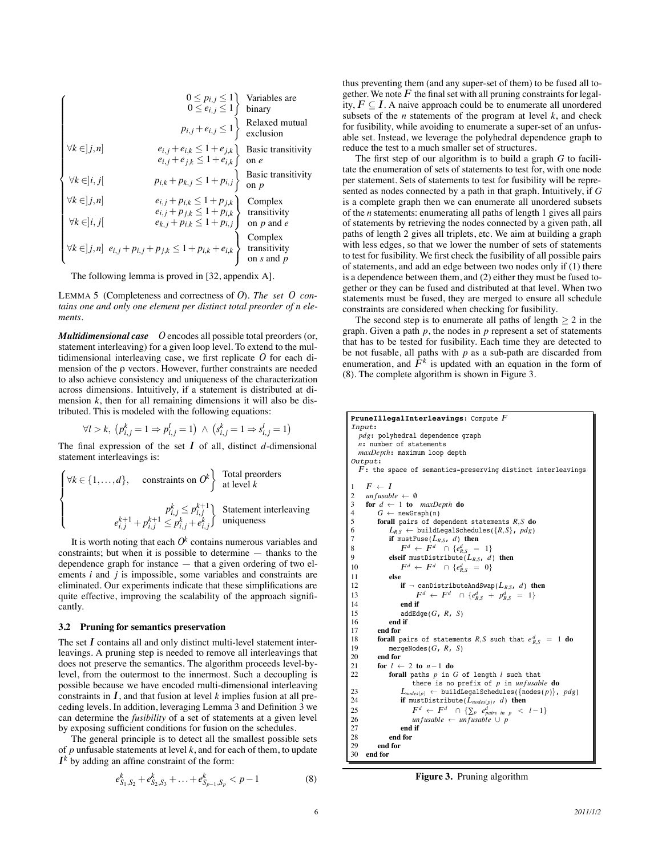$$
\begin{cases}\n0 \leq p_{i,j} \leq 1 \\
p_{i,j} + e_{i,j} \leq 1\n\end{cases}\n\begin{cases}\n\text{Variables are } 0 \leq e_{i,j} \leq 1 \\
\text{binary} \\
\forall k \in ]j,n]\n\end{cases}
$$
\n
$$
\forall k \in ]j,n]
$$
\n
$$
\begin{cases}\ne_{i,j} + e_{i,k} \leq 1 + e_{j,k} \\
e_{i,j} + e_{j,k} \leq 1 + e_{i,k}\n\end{cases}
$$
\nBasic transitivity\n
$$
\begin{cases}\n\forall k \in ]i,j[ \quad p_{i,k} + p_{k,j} \leq 1 + p_{j,k} \\
\forall k \in ]j,n] \quad e_{i,j} + p_{i,k} \leq 1 + p_{j,k} \\
e_{k,j} + p_{i,k} \leq 1 + p_{i,j}\n\end{cases}
$$
\n
$$
\begin{cases}\n\forall k \in ]i,j[ \quad e_{k,j} + p_{i,k} \leq 1 + p_{i,j}\n\end{cases}
$$
\n
$$
\begin{cases}\n\forall k \in ]j,n] \quad e_{i,j} + p_{i,j} + p_{j,k} \leq 1 + p_{i,k} + e_{i,k}\n\end{cases}
$$
\n
$$
\begin{cases}\n\text{Complex} \\
\text{complex} \\
\forall k \in ]j,n] \quad e_{i,j} + p_{i,j} + p_{j,k} \leq 1 + p_{i,k} + e_{i,k}\n\end{cases}
$$
\n
$$
\begin{cases}\n\text{Complex} \\
\text{complex} \\
\text{transitivity} \\
\text{on } s \text{ and } p\n\end{cases}
$$

The following lemma is proved in [32, appendix A].

LEMMA 5 (Completeness and correctness of O). *The set* O *contains one and only one element per distinct total preorder of n elements.*

*Multidimensional case* O encodes all possible total preorders (or, statement interleaving) for a given loop level. To extend to the multidimensional interleaving case, we first replicate  $O$  for each dimension of the  $\rho$  vectors. However, further constraints are needed to also achieve consistency and uniqueness of the characterization across dimensions. Intuitively, if a statement is distributed at dimension *k*, then for all remaining dimensions it will also be distributed. This is modeled with the following equations:

$$
\forall l > k, \ (p_{i,j}^k = 1 \Rightarrow p_{i,j}^l = 1) \ \land \ (s_{i,j}^k = 1 \Rightarrow s_{i,j}^l = 1)
$$

The final expression of the set I of all, distinct *d*-dimensional statement interleavings is:

$$
\begin{cases}\n\forall k \in \{1, ..., d\}, & \text{constraints on } O^k\} \quad \text{Total preorders} \\
\{ \begin{aligned}\n& p_{i,j}^k & \leq p_{i,j}^{k+1} \\
& e_{i,j}^{k+1} + p_{i,j}^{k+1} \leq p_{i,j}^k + e_{i,j}^k\n \end{aligned}\n \right\} \quad \text{Statement interleaving} \\
& \text{uniqueness}\n\end{cases}
$$

It is worth noting that each  $O^k$  contains numerous variables and constraints; but when it is possible to determine — thanks to the dependence graph for instance — that a given ordering of two elements *i* and *j* is impossible, some variables and constraints are eliminated. Our experiments indicate that these simplifications are quite effective, improving the scalability of the approach significantly.

#### **3.2 Pruning for semantics preservation**

The set  $I$  contains all and only distinct multi-level statement interleavings. A pruning step is needed to remove all interleavings that does not preserve the semantics. The algorithm proceeds level-bylevel, from the outermost to the innermost. Such a decoupling is possible because we have encoded multi-dimensional interleaving constraints in  $I$ , and that fusion at level  $k$  implies fusion at all preceding levels. In addition, leveraging Lemma 3 and Definition 3 we can determine the *fusibility* of a set of statements at a given level by exposing sufficient conditions for fusion on the schedules.

The general principle is to detect all the smallest possible sets of *p* unfusable statements at level *k*, and for each of them, to update  $I^k$  by adding an affine constraint of the form:

$$
e_{S_1,S_2}^k + e_{S_2,S_3}^k + \ldots + e_{S_{p-1},S_p}^k < p-1 \tag{8}
$$

thus preventing them (and any super-set of them) to be fused all together. We note  $F$  the final set with all pruning constraints for legality,  $F \subseteq I$ . A naive approach could be to enumerate all unordered subsets of the *n* statements of the program at level *k*, and check for fusibility, while avoiding to enumerate a super-set of an unfusable set. Instead, we leverage the polyhedral dependence graph to reduce the test to a much smaller set of structures.

The first step of our algorithm is to build a graph *G* to facilitate the enumeration of sets of statements to test for, with one node per statement. Sets of statements to test for fusibility will be represented as nodes connected by a path in that graph. Intuitively, if *G* is a complete graph then we can enumerate all unordered subsets of the *n* statements: enumerating all paths of length 1 gives all pairs of statements by retrieving the nodes connected by a given path, all paths of length 2 gives all triplets, etc. We aim at building a graph with less edges, so that we lower the number of sets of statements to test for fusibility. We first check the fusibility of all possible pairs of statements, and add an edge between two nodes only if (1) there is a dependence between them, and (2) either they must be fused together or they can be fused and distributed at that level. When two statements must be fused, they are merged to ensure all schedule constraints are considered when checking for fusibility.

The second step is to enumerate all paths of length  $\geq 2$  in the graph. Given a path *p*, the nodes in *p* represent a set of statements that has to be tested for fusibility. Each time they are detected to be not fusable, all paths with *p* as a sub-path are discarded from enumeration, and  $\dot{F}^k$  is updated with an equation in the form of (8). The complete algorithm is shown in Figure 3.

```
PruneIllegalInterleavings: Compute F
Input:
   pdg: polyhedral dependence graph
   n: number of statements
   maxDepth: maximum loop depth
Output:
   F: the space of semantics-preserving distinct interleavings
\begin{array}{cc} 1 & F \leftarrow I \\ 2 & \text{unfusab} \end{array}2 unfusable \leftarrow \emptyset<br>3 for d \leftarrow 1 to
3 for d \leftarrow 1 to maxDepth do<br>4 G \leftarrow newGraph(n)
4 G ← newGraph(n)<br>5 forall pairs of dep
5 forall pairs of dependent statements R, S do 6 L_{R,S} \leftarrow buildLegalSchedules(\{R, S\}, pdg)
6 L_{R,S} \leftarrow \text{build$\text{Legals$chedules}}(\{R,S\}, \{pdg\})<br>7 if mustFuse(L_{R,S}, d) then
7 if mustFuse(L_{R,S}, d) then<br>8 F^d \leftarrow F^d \cap \{e_{R,S}^d\}8 F^d \leftarrow F^d \cap \{e_{R,S}^d = 1\}9 elseif mustDistribute(L_{R,S}, d) then<br>10 F^d \leftarrow F^d \cap \{e_{pS}^d = 0\}10 F^d \leftarrow F^d \cap \{e_{R,S}^d = 0\}11 else
12 if \lnot canDistributeAndSwap(L_{R,S}, d) then<br>13 F^d \leftarrow F^d \cap \{e^d \cdot + n^d \cdot = 1\}13 F^d \leftarrow F^d \cap \{e_{R,S}^d + p_{R,S}^d = 1\}14 end if<br>15 addEd
15 addEdge(G, R, S)
16 end if
17 end for
 18 forall pairs of statements R, S such that e_{R,S}^d = 1 do
19 mergeNodes(G, R, S)<br>20 end for
20 end for<br>21 for l \leftarrow21 for l \leftarrow 2 to n-1 do<br>22 forall paths p in (
               forall paths p in G of length l such that
                        there is no prefix of p in un f usable do
 L_{nodes(p)} \leftarrow \text{buildLegendules}(\{\text{nodes}(p)\},\ pdg)24 if mustDistribute(\tilde{L}_{nodes(p)}, d) then<br>25 F^d \leftarrow F^d \cap {\sum_{n} e_{\text{other}}^d} in \leq25 F^d \leftarrow F^d \cap \{\sum_p e_{pairs \ in \ p}^d < l-1\}26 un f usable ← un f usable ∪ p
27 end if
28 end for
29 end for
     30 end for
```
**Figure 3.** Pruning algorithm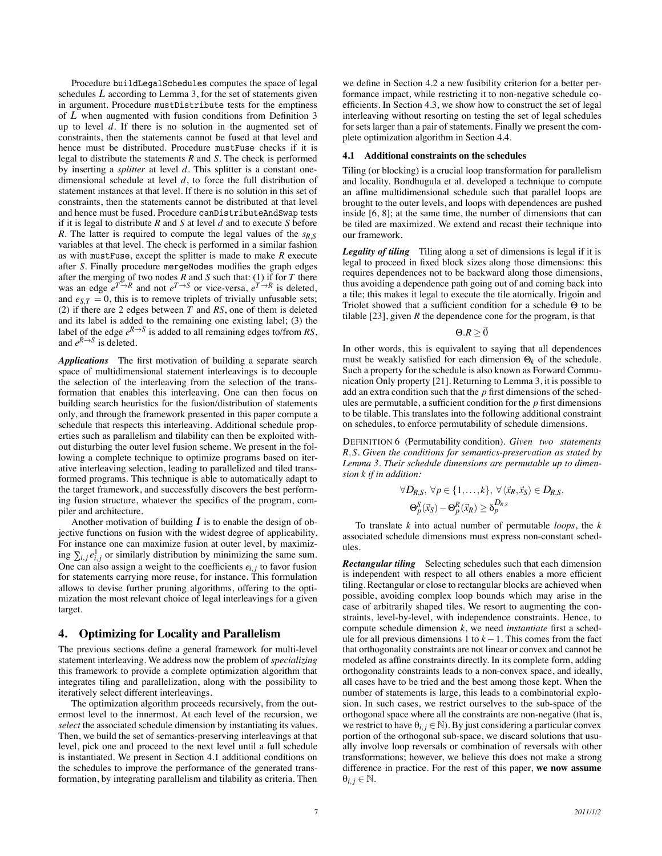Procedure buildLegalSchedules computes the space of legal schedules  $L$  according to Lemma 3, for the set of statements given in argument. Procedure mustDistribute tests for the emptiness of L when augmented with fusion conditions from Definition 3 up to level *d*. If there is no solution in the augmented set of constraints, then the statements cannot be fused at that level and hence must be distributed. Procedure mustFuse checks if it is legal to distribute the statements *R* and *S*. The check is performed by inserting a *splitter* at level *d*. This splitter is a constant onedimensional schedule at level *d*, to force the full distribution of statement instances at that level. If there is no solution in this set of constraints, then the statements cannot be distributed at that level and hence must be fused. Procedure canDistributeAndSwap tests if it is legal to distribute *R* and *S* at level *d* and to execute *S* before *R*. The latter is required to compute the legal values of the  $s_{RS}$ variables at that level. The check is performed in a similar fashion as with mustFuse, except the splitter is made to make *R* execute after *S*. Finally procedure mergeNodes modifies the graph edges after the merging of two nodes *R* and *S* such that: (1) if for *T* there was an edge  $e^{T \rightarrow R}$  and not  $e^{T \rightarrow S}$  or vice-versa,  $e^{T \rightarrow R}$  is deleted, and  $e_{ST} = 0$ , this is to remove triplets of trivially unfusable sets; (2) if there are 2 edges between  $\hat{T}$  and  $RS$ , one of them is deleted and its label is added to the remaining one existing label; (3) the label of the edge  $e^{R\rightarrow S}$  is added to all remaining edges to/from RS, and  $e^{R\rightarrow S}$  is deleted.

*Applications* The first motivation of building a separate search space of multidimensional statement interleavings is to decouple the selection of the interleaving from the selection of the transformation that enables this interleaving. One can then focus on building search heuristics for the fusion/distribution of statements only, and through the framework presented in this paper compute a schedule that respects this interleaving. Additional schedule properties such as parallelism and tilability can then be exploited without disturbing the outer level fusion scheme. We present in the following a complete technique to optimize programs based on iterative interleaving selection, leading to parallelized and tiled transformed programs. This technique is able to automatically adapt to the target framework, and successfully discovers the best performing fusion structure, whatever the specifics of the program, compiler and architecture.

Another motivation of building  $I$  is to enable the design of objective functions on fusion with the widest degree of applicability. For instance one can maximize fusion at outer level, by maximizing  $\sum_{i,j} e_{i,j}^1$  or similarly distribution by minimizing the same sum. One can also assign a weight to the coefficients  $e_{i,j}$  to favor fusion for statements carrying more reuse, for instance. This formulation allows to devise further pruning algorithms, offering to the optimization the most relevant choice of legal interleavings for a given target.

### **4. Optimizing for Locality and Parallelism**

The previous sections define a general framework for multi-level statement interleaving. We address now the problem of *specializing* this framework to provide a complete optimization algorithm that integrates tiling and parallelization, along with the possibility to iteratively select different interleavings.

The optimization algorithm proceeds recursively, from the outermost level to the innermost. At each level of the recursion, we *select* the associated schedule dimension by instantiating its values. Then, we build the set of semantics-preserving interleavings at that level, pick one and proceed to the next level until a full schedule is instantiated. We present in Section 4.1 additional conditions on the schedules to improve the performance of the generated transformation, by integrating parallelism and tilability as criteria. Then

we define in Section 4.2 a new fusibility criterion for a better performance impact, while restricting it to non-negative schedule coefficients. In Section 4.3, we show how to construct the set of legal interleaving without resorting on testing the set of legal schedules for sets larger than a pair of statements. Finally we present the complete optimization algorithm in Section 4.4.

#### **4.1 Additional constraints on the schedules**

Tiling (or blocking) is a crucial loop transformation for parallelism and locality. Bondhugula et al. developed a technique to compute an affine multidimensional schedule such that parallel loops are brought to the outer levels, and loops with dependences are pushed inside [6, 8]; at the same time, the number of dimensions that can be tiled are maximized. We extend and recast their technique into our framework.

*Legality of tiling* Tiling along a set of dimensions is legal if it is legal to proceed in fixed block sizes along those dimensions: this requires dependences not to be backward along those dimensions, thus avoiding a dependence path going out of and coming back into a tile; this makes it legal to execute the tile atomically. Irigoin and Triolet showed that a sufficient condition for a schedule O to be tilable  $[23]$ , given  $R$  the dependence cone for the program, is that

 $\Theta.R \geq \vec{0}$ 

In other words, this is equivalent to saying that all dependences must be weakly satisfied for each dimension  $\Theta_k$  of the schedule. Such a property for the schedule is also known as Forward Communication Only property [21]. Returning to Lemma 3, it is possible to add an extra condition such that the *p* first dimensions of the schedules are permutable, a sufficient condition for the *p* first dimensions to be tilable. This translates into the following additional constraint on schedules, to enforce permutability of schedule dimensions.

DEFINITION 6 (Permutability condition). *Given two statements R*,*S. Given the conditions for semantics-preservation as stated by Lemma 3. Their schedule dimensions are permutable up to dimension k if in addition:*

$$
\forall D_{R,S}, \forall p \in \{1,\ldots,k\}, \forall \langle \vec{x}_R, \vec{x}_S \rangle \in D_{R,S},
$$
  

$$
\Theta_p^S(\vec{x}_S) - \Theta_p^R(\vec{x}_R) \ge \delta_p^{D_{R,S}}
$$

To translate *k* into actual number of permutable *loops*, the *k* associated schedule dimensions must express non-constant schedules.

*Rectangular tiling* Selecting schedules such that each dimension is independent with respect to all others enables a more efficient tiling. Rectangular or close to rectangular blocks are achieved when possible, avoiding complex loop bounds which may arise in the case of arbitrarily shaped tiles. We resort to augmenting the constraints, level-by-level, with independence constraints. Hence, to compute schedule dimension *k*, we need *instantiate* first a schedule for all previous dimensions 1 to *k*−1. This comes from the fact that orthogonality constraints are not linear or convex and cannot be modeled as affine constraints directly. In its complete form, adding orthogonality constraints leads to a non-convex space, and ideally, all cases have to be tried and the best among those kept. When the number of statements is large, this leads to a combinatorial explosion. In such cases, we restrict ourselves to the sub-space of the orthogonal space where all the constraints are non-negative (that is, we restrict to have  $\theta_{i,j} \in \mathbb{N}$ ). By just considering a particular convex portion of the orthogonal sub-space, we discard solutions that usually involve loop reversals or combination of reversals with other transformations; however, we believe this does not make a strong difference in practice. For the rest of this paper, **we now assume**  $\theta_{i,j} \in \mathbb{N}$ .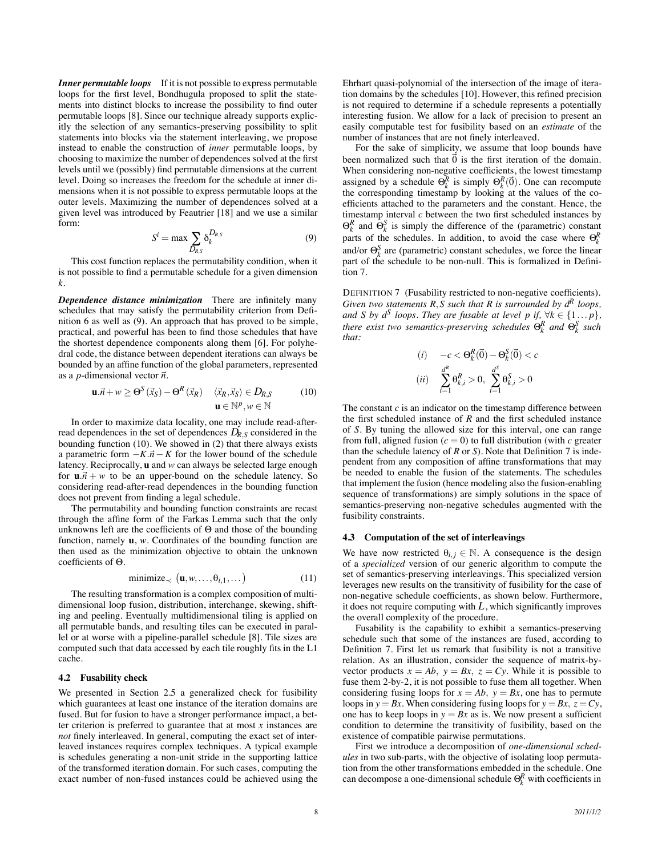*Inner permutable loops* If it is not possible to express permutable loops for the first level, Bondhugula proposed to split the statements into distinct blocks to increase the possibility to find outer permutable loops [8]. Since our technique already supports explicitly the selection of any semantics-preserving possibility to split statements into blocks via the statement interleaving, we propose instead to enable the construction of *inner* permutable loops, by choosing to maximize the number of dependences solved at the first levels until we (possibly) find permutable dimensions at the current level. Doing so increases the freedom for the schedule at inner dimensions when it is not possible to express permutable loops at the outer levels. Maximizing the number of dependences solved at a given level was introduced by Feautrier [18] and we use a similar form:

$$
S^i = \max \sum_{D_{R,S}} \delta_k^{D_{R,S}} \tag{9}
$$

This cost function replaces the permutability condition, when it is not possible to find a permutable schedule for a given dimension *k*.

*Dependence distance minimization* There are infinitely many schedules that may satisfy the permutability criterion from Definition 6 as well as (9). An approach that has proved to be simple, practical, and powerful has been to find those schedules that have the shortest dependence components along them [6]. For polyhedral code, the distance between dependent iterations can always be bounded by an affine function of the global parameters, represented as a  $p$ -dimensional vector  $\vec{n}$ .

$$
\mathbf{u}.\vec{n} + w \ge \Theta^S(\vec{x}_S) - \Theta^R(\vec{x}_R) \quad \langle \vec{x}_R, \vec{x}_S \rangle \in D_{R,S} \tag{10}
$$
\n
$$
\mathbf{u} \in \mathbb{N}^p, w \in \mathbb{N}
$$

In order to maximize data locality, one may include read-afterread dependences in the set of dependences <sup>D</sup>*R*,*<sup>S</sup>* considered in the bounding function (10). We showed in (2) that there always exists a parametric form  $-K.\vec{n} - K$  for the lower bound of the schedule latency. Reciprocally, **u** and *w* can always be selected large enough for  $\mathbf{u} \cdot \vec{n} + w$  to be an upper-bound on the schedule latency. So considering read-after-read dependences in the bounding function does not prevent from finding a legal schedule.

The permutability and bounding function constraints are recast through the affine form of the Farkas Lemma such that the only unknowns left are the coefficients of  $\Theta$  and those of the bounding function, namely **u**, *w*. Coordinates of the bounding function are then used as the minimization objective to obtain the unknown coefficients of O.

$$
\text{minimize}_{\prec} \left( \mathbf{u}, w, \ldots, \theta_{i,1}, \ldots \right) \tag{11}
$$

The resulting transformation is a complex composition of multidimensional loop fusion, distribution, interchange, skewing, shifting and peeling. Eventually multidimensional tiling is applied on all permutable bands, and resulting tiles can be executed in parallel or at worse with a pipeline-parallel schedule [8]. Tile sizes are computed such that data accessed by each tile roughly fits in the L1 cache.

#### **4.2 Fusability check**

We presented in Section 2.5 a generalized check for fusibility which guarantees at least one instance of the iteration domains are fused. But for fusion to have a stronger performance impact, a better criterion is preferred to guarantee that at most *x* instances are *not* finely interleaved. In general, computing the exact set of interleaved instances requires complex techniques. A typical example is schedules generating a non-unit stride in the supporting lattice of the transformed iteration domain. For such cases, computing the exact number of non-fused instances could be achieved using the Ehrhart quasi-polynomial of the intersection of the image of iteration domains by the schedules [10]. However, this refined precision is not required to determine if a schedule represents a potentially interesting fusion. We allow for a lack of precision to present an easily computable test for fusibility based on an *estimate* of the number of instances that are not finely interleaved.

For the sake of simplicity, we assume that loop bounds have been normalized such that  $\vec{0}$  is the first iteration of the domain. When considering non-negative coefficients, the lowest timestamp assigned by a schedule  $\Theta_k^R$  is simply  $\Theta_k^R(\vec{0})$ . One can recompute the corresponding timestamp by looking at the values of the coefficients attached to the parameters and the constant. Hence, the timestamp interval *c* between the two first scheduled instances by  $\Theta_k^R$  and  $\Theta_k^S$  is simply the difference of the (parametric) constant parts of the schedules. In addition, to avoid the case where  $\Theta_k^R$ and/or  $\Theta_k^S$  are (parametric) constant schedules, we force the linear part of the schedule to be non-null. This is formalized in Definition 7.

DEFINITION 7 (Fusability restricted to non-negative coefficients). *Given two statements*  $R$ *, S such that*  $R$  *is surrounded by*  $d^R$  *loops*, *and S by*  $d^S$  *loops. They are fusable at level p if,*  $\forall k \in \{1...p\}$ *, there exist two semantics-preserving schedules*  $\Theta_k^R$  *and*  $\Theta_k^S$  *such that:*

$$
(i) \quad -c < \Theta_k^R(\vec{0}) - \Theta_k^S(\vec{0}) < c
$$
\n
$$
(ii) \quad \sum_{i=1}^{d^R} \Theta_{k,i}^R > 0, \ \sum_{i=1}^{d^S} \Theta_{k,i}^S > 0
$$

The constant *c* is an indicator on the timestamp difference between the first scheduled instance of *R* and the first scheduled instance of *S*. By tuning the allowed size for this interval, one can range from full, aligned fusion  $(c = 0)$  to full distribution (with  $c$  greater than the schedule latency of *R* or *S*). Note that Definition 7 is independent from any composition of affine transformations that may be needed to enable the fusion of the statements. The schedules that implement the fusion (hence modeling also the fusion-enabling sequence of transformations) are simply solutions in the space of semantics-preserving non-negative schedules augmented with the fusibility constraints.

#### **4.3 Computation of the set of interleavings**

We have now restricted  $\theta_{i,j} \in \mathbb{N}$ . A consequence is the design of a *specialized* version of our generic algorithm to compute the set of semantics-preserving interleavings. This specialized version leverages new results on the transitivity of fusibility for the case of non-negative schedule coefficients, as shown below. Furthermore, it does not require computing with  $L$ , which significantly improves the overall complexity of the procedure.

Fusability is the capability to exhibit a semantics-preserving schedule such that some of the instances are fused, according to Definition 7. First let us remark that fusibility is not a transitive relation. As an illustration, consider the sequence of matrix-byvector products  $x = Ab$ ,  $y = Bx$ ,  $z = Cy$ . While it is possible to fuse them 2-by-2, it is not possible to fuse them all together. When considering fusing loops for  $x = Ab$ ,  $y = Bx$ , one has to permute loops in  $y = Bx$ . When considering fusing loops for  $y = Bx$ ,  $z = Cy$ , one has to keep loops in  $y = Bx$  as is. We now present a sufficient condition to determine the transitivity of fusibility, based on the existence of compatible pairwise permutations.

First we introduce a decomposition of *one-dimensional schedules* in two sub-parts, with the objective of isolating loop permutation from the other transformations embedded in the schedule. One can decompose a one-dimensional schedule  $\Theta_k^R$  with coefficients in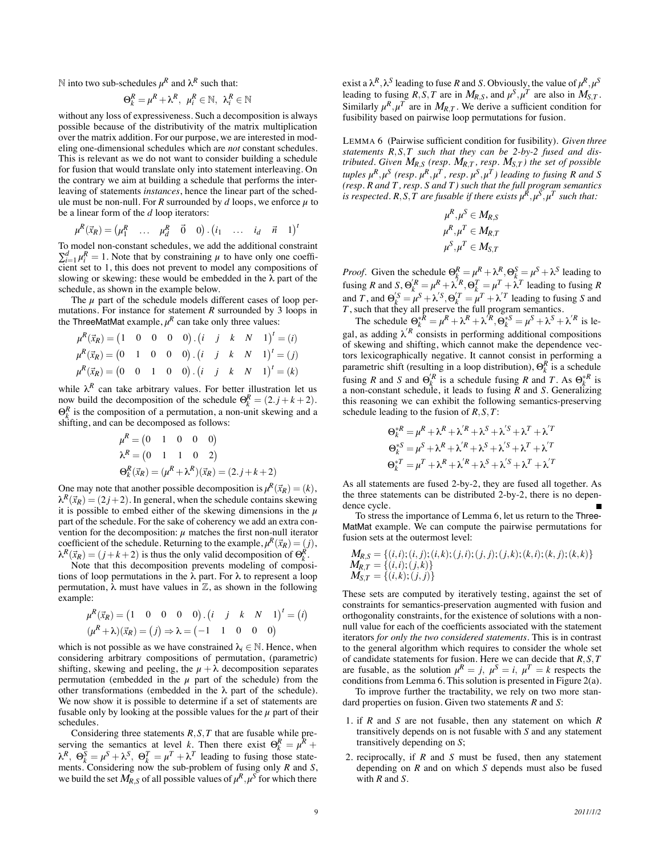N into two sub-schedules  $\mu^R$  and  $\lambda^R$  such that:

$$
\Theta_k^R = \mu^R + \lambda^R, \ \mu_i^R \in \mathbb{N}, \ \lambda_i^R \in \mathbb{N}
$$

without any loss of expressiveness. Such a decomposition is always possible because of the distributivity of the matrix multiplication over the matrix addition. For our purpose, we are interested in modeling one-dimensional schedules which are *not* constant schedules. This is relevant as we do not want to consider building a schedule for fusion that would translate only into statement interleaving. On the contrary we aim at building a schedule that performs the interleaving of statements *instances*, hence the linear part of the schedule must be non-null. For *R* surrounded by *d* loops, we enforce  $\mu$  to be a linear form of the *d* loop iterators:

$$
\mu^{R}(\vec{x}_{R}) = (\mu_{1}^{R} \quad \dots \quad \mu_{d}^{R} \quad \vec{0} \quad 0) \cdot (i_{1} \quad \dots \quad i_{d} \quad \vec{n} \quad 1)^{t}
$$

To model non-constant schedules, we add the additional constraint  $\sum_{i=1}^{d} \mu_i^R = 1$ . Note that by constraining  $\mu$  to have only one coefficient set to 1, this does not prevent to model any compositions of slowing or skewing: these would be embedded in the  $\lambda$  part of the schedule, as shown in the example below.

The  $\mu$  part of the schedule models different cases of loop permutations. For instance for statement *R* surrounded by 3 loops in the ThreeMatMat example,  $\mu^R$  can take only three values:

$$
\mu^{R}(\vec{x}_{R}) = \begin{pmatrix} 1 & 0 & 0 & 0 & 0 \end{pmatrix} \cdot \begin{pmatrix} i & j & k & N & 1 \end{pmatrix}^{t} = (i)
$$
  

$$
\mu^{R}(\vec{x}_{R}) = \begin{pmatrix} 0 & 1 & 0 & 0 & 0 \end{pmatrix} \cdot \begin{pmatrix} i & j & k & N & 1 \end{pmatrix}^{t} = (j)
$$
  

$$
\mu^{R}(\vec{x}_{R}) = \begin{pmatrix} 0 & 0 & 1 & 0 & 0 \end{pmatrix} \cdot \begin{pmatrix} i & j & k & N & 1 \end{pmatrix}^{t} = (k)
$$

while  $\lambda^R$  can take arbitrary values. For better illustration let us now build the decomposition of the schedule  $\Theta_k^R = (2 \cdot j + k + 2)$ .  $\Theta_k^R$  is the composition of a permutation, a non-unit skewing and a shifting, and can be decomposed as follows:

$$
\mu^{R} = \begin{pmatrix} 0 & 1 & 0 & 0 & 0 \end{pmatrix}
$$
  
\n
$$
\lambda^{R} = \begin{pmatrix} 0 & 1 & 1 & 0 & 2 \end{pmatrix}
$$
  
\n
$$
\Theta_{k}^{R}(\vec{x}_{R}) = (\mu^{R} + \lambda^{R})(\vec{x}_{R}) = (2 \cdot j + k + 2)
$$

One may note that another possible decomposition is  $\mu^R(\vec{x}_R) = (k)$ ,  $\lambda^R(\vec{x}_R) = (2j+2)$ . In general, when the schedule contains skewing it is possible to embed either of the skewing dimensions in the  $\mu$ part of the schedule. For the sake of coherency we add an extra convention for the decomposition:  $\mu$  matches the first non-null iterator coefficient of the schedule. Returning to the example,  $\mu^R(\vec{x}_R) = (j)$ ,  $h^R(\vec{x}_R) = (j + k + 2)$  is thus the only valid decomposition of  $\Theta_k^R$ .

Note that this decomposition prevents modeling of compositions of loop permutations in the  $\lambda$  part. For  $\lambda$  to represent a loop permutation,  $\lambda$  must have values in  $\mathbb{Z}$ , as shown in the following example:

$$
\mu^{R}(\vec{x}_{R}) = (1 \ 0 \ 0 \ 0 \ 0), (i \ j \ k \ N \ 1)^{t} = (i)
$$
  

$$
(\mu^{R} + \lambda)(\vec{x}_{R}) = (j) \Rightarrow \lambda = (-1 \ 1 \ 0 \ 0 \ 0)
$$

which is not possible as we have constrained  $\lambda_i \in \mathbb{N}$ . Hence, when considering arbitrary compositions of permutation, (parametric) shifting, skewing and peeling, the  $\mu + \lambda$  decomposition separates permutation (embedded in the  $\mu$  part of the schedule) from the other transformations (embedded in the  $\lambda$  part of the schedule). We now show it is possible to determine if a set of statements are fusable only by looking at the possible values for the  $\mu$  part of their schedules.

Considering three statements *R*,*S*,*T* that are fusable while preserving the semantics at level *k*. Then there exist  $\Theta_k^R = \mu^R + \frac{1}{\sqrt{R}}$  $\lambda^R$ ,  $\Theta_k^S = \mu^S + \lambda^S$ ,  $\Theta_k^T = \mu^T + \lambda^T$  leading to fusing those state-ments. Considering now the sub-problem of fusing only *R* and *S*, we build the set  $M_{R,S}$  of all possible values of  $\mu^R$ ,  $\mu^S$  for which there

exist a  $\lambda^R$ ,  $\lambda^S$  leading to fuse *R* and *S*. Obviously, the value of  $\mu^R$ ,  $\mu^S$ leading to fusing *R*, *S*, *T* are in  $M_{R,S}$ , and  $\mu^S, \mu^T$  are also in  $M_{S,T}$ . Similarly  $\mu^R$ ,  $\mu^T$  are in  $M_{R,T}$ . We derive a sufficient condition for fusibility based on pairwise loop permutations for fusion.

LEMMA 6 (Pairwise sufficient condition for fusibility). *Given three statements R*,*S*,*T such that they can be 2-by-2 fused and distributed. Given*  $M_{R,S}$  (resp.  $M_{R,T}$ , resp.  $M_{S,T}$ ) the set of possible *tuples µR*,*µS (resp. µR*,*µT , resp. µS*,*µT ) leading to fusing R and S (resp. R and T, resp. S and T ) such that the full program semantics is respected.*  $R, S, T$  *are fusable if there exists*  $\mu^{\hat{R}}, \mu^{\hat{S}}, \mu^T$  *such that:* 

$$
\mu^R, \mu^S \in M_{R,S}
$$
  

$$
\mu^R, \mu^T \in M_{R,T}
$$
  

$$
\mu^S, \mu^T \in M_{S,T}
$$

*Proof.* Given the schedule  $\Theta_k^R = \mu^R + \lambda^R \Theta_k^S = \mu^S + \lambda^S$  leading to fusing *R* and  $S$ ,  $\Theta_k^R = \mu^R + \lambda^R \Theta_k^T = \mu^T + \lambda^T$  leading to fusing *R* and *T*, and  $\Theta_k^{S} = \mu^S + \lambda^S, \Theta_k^T = \mu^T + \lambda^T$  leading to fusing *S* and *T*, such that they all preserve the full program semantics.

The schedule  $\Theta_k^{*R} = \mu^R + \lambda^R + \lambda^{'R}, \Theta_k^{*S} = \mu^S + \lambda^S + \lambda^{'R}$  is legal, as adding  $\lambda^{\prime R}$  consists in performing additional compositions of skewing and shifting, which cannot make the dependence vectors lexicographically negative. It cannot consist in performing a parametric shift (resulting in a loop distribution),  $\Theta_k^R$  is a schedule fusing *R* and *S* and  $\Theta_k^{\prime R}$  is a schedule fusing *R* and *T*. As  $\Theta_k^{*R}$  is a non-constant schedule, it leads to fusing *R* and *S*. Generalizing this reasoning we can exhibit the following semantics-preserving schedule leading to the fusion of *R*,*S*,*T*:

$$
\Theta_k^{*R} = \mu^R + \lambda^R + \lambda^{'R} + \lambda^{'S} + \lambda^{'S} + \lambda^T + \lambda^{'T}
$$

$$
\Theta_k^{*S} = \mu^S + \lambda^R + \lambda^{'R} + \lambda^S + \lambda^{'S} + \lambda^T + \lambda^{'T}
$$

$$
\Theta_k^{*T} = \mu^T + \lambda^R + \lambda^{'R} + \lambda^S + \lambda^{'S} + \lambda^T + \lambda^{'T}
$$

 $\sim$ 

As all statements are fused 2-by-2, they are fused all together. As the three statements can be distributed 2-by-2, there is no dependence cycle.

To stress the importance of Lemma 6, let us return to the Three-MatMat example. We can compute the pairwise permutations for fusion sets at the outermost level:

$$
M_{R,S} = \{ (i,i); (i,j); (i,k); (j,i); (j,j); (j,k); (k,i); (k,j); (k,k) \}
$$
  
\n
$$
M_{R,T} = \{ (i,i); (j,k) \}
$$
  
\n
$$
M_{S,T} = \{ (i,k); (j,j) \}
$$

These sets are computed by iteratively testing, against the set of constraints for semantics-preservation augmented with fusion and orthogonality constraints, for the existence of solutions with a nonnull value for each of the coefficients associated with the statement iterators *for only the two considered statements*. This is in contrast to the general algorithm which requires to consider the whole set of candidate statements for fusion. Here we can decide that *R*,*S*,*T* are fusable, as the solution  $\mu^R = j$ ,  $\mu^S = i$ ,  $\mu^T = k$  respects the conditions from Lemma 6. This solution is presented in Figure 2(a).

To improve further the tractability, we rely on two more standard properties on fusion. Given two statements *R* and *S*:

- 1. if *R* and *S* are not fusable, then any statement on which *R* transitively depends on is not fusable with *S* and any statement transitively depending on *S*;
- 2. reciprocally, if *R* and *S* must be fused, then any statement depending on *R* and on which *S* depends must also be fused with *R* and *S*.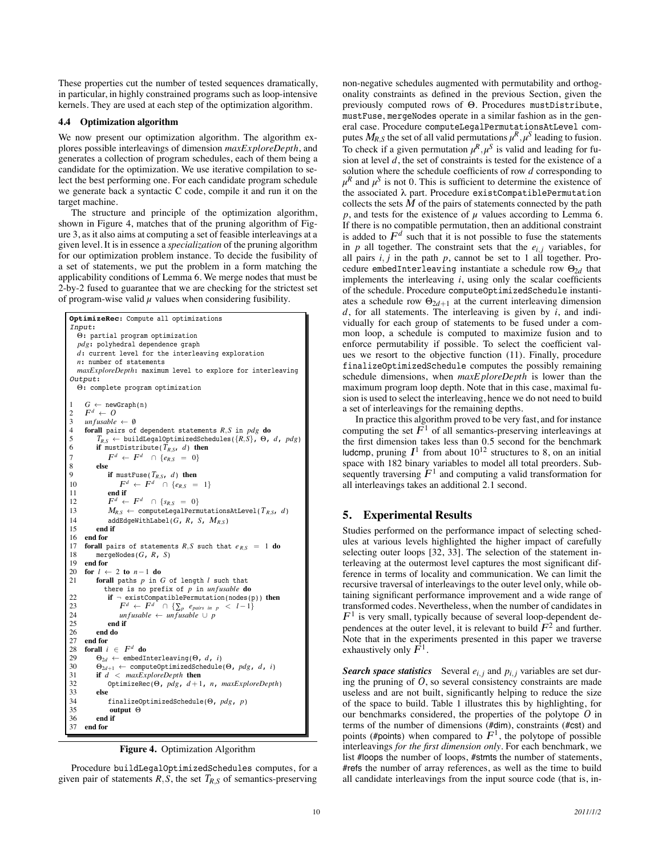These properties cut the number of tested sequences dramatically, in particular, in highly constrained programs such as loop-intensive kernels. They are used at each step of the optimization algorithm.

#### **4.4 Optimization algorithm**

We now present our optimization algorithm. The algorithm explores possible interleavings of dimension *maxExploreDepth*, and generates a collection of program schedules, each of them being a candidate for the optimization. We use iterative compilation to select the best performing one. For each candidate program schedule we generate back a syntactic C code, compile it and run it on the target machine.

The structure and principle of the optimization algorithm, shown in Figure 4, matches that of the pruning algorithm of Figure 3, as it also aims at computing a set of feasible interleavings at a given level. It is in essence a *specialization* of the pruning algorithm for our optimization problem instance. To decide the fusibility of a set of statements, we put the problem in a form matching the applicability conditions of Lemma 6. We merge nodes that must be 2-by-2 fused to guarantee that we are checking for the strictest set of program-wise valid  $\mu$  values when considering fusibility.



**Figure 4.** Optimization Algorithm

Procedure buildLegalOptimizedSchedules computes, for a given pair of statements  $R$ ,  $S$ , the set  $T_{R,S}$  of semantics-preserving non-negative schedules augmented with permutability and orthogonality constraints as defined in the previous Section, given the previously computed rows of O. Procedures mustDistribute, mustFuse, mergeNodes operate in a similar fashion as in the general case. Procedure computeLegalPermutationsAtLevel computes  $M_{R,S}$  the set of all valid permutations  $\mu^R, \mu^S$  leading to fusion. To check if a given permutation  $\mu^R$ ,  $\mu^S$  is valid and leading for fusion at level *d*, the set of constraints is tested for the existence of a solution where the schedule coefficients of row *d* corresponding to  $\mu^R$  and  $\mu^S$  is not 0. This is sufficient to determine the existence of the associated  $\lambda$  part. Procedure existCompatiblePermutation collects the sets  $\overline{M}$  of the pairs of statements connected by the path  $p$ , and tests for the existence of  $\mu$  values according to Lemma 6. If there is no compatible permutation, then an additional constraint is added to  $F<sup>d</sup>$  such that it is not possible to fuse the statements in  $p$  all together. The constraint sets that the  $e_{i,j}$  variables, for all pairs *i*, *j* in the path *p*, cannot be set to 1 all together. Procedure embedInterleaving instantiate a schedule row  $\Theta_{2d}$  that implements the interleaving  $i$ , using only the scalar coefficients of the schedule. Procedure computeOptimizedSchedule instantiates a schedule row  $\Theta_{2d+1}$  at the current interleaving dimension *d*, for all statements. The interleaving is given by *i*, and individually for each group of statements to be fused under a common loop, a schedule is computed to maximize fusion and to enforce permutability if possible. To select the coefficient values we resort to the objective function (11). Finally, procedure finalizeOptimizedSchedule computes the possibly remaining schedule dimensions, when *maxE ploreDepth* is lower than the maximum program loop depth. Note that in this case, maximal fusion is used to select the interleaving, hence we do not need to build a set of interleavings for the remaining depths.

In practice this algorithm proved to be very fast, and for instance computing the set  $F<sup>1</sup>$  of all semantics-preserving interleavings at the first dimension takes less than 0.5 second for the benchmark ludcmp, pruning  $I^1$  from about  $10^{12}$  structures to 8, on an initial space with 182 binary variables to model all total preorders. Subsequently traversing  $F<sup>1</sup>$  and computing a valid transformation for all interleavings takes an additional 2.1 second.

## **5. Experimental Results**

Studies performed on the performance impact of selecting schedules at various levels highlighted the higher impact of carefully selecting outer loops [32, 33]. The selection of the statement interleaving at the outermost level captures the most significant difference in terms of locality and communication. We can limit the recursive traversal of interleavings to the outer level only, while obtaining significant performance improvement and a wide range of transformed codes. Nevertheless, when the number of candidates in  $F<sup>1</sup>$  is very small, typically because of several loop-dependent dependences at the outer level, it is relevant to build  $F<sup>2</sup>$  and further. Note that in the experiments presented in this paper we traverse exhaustively only  $F<sup>1</sup>$ .

**Search space statistics** Several  $e_{i,j}$  and  $p_{i,j}$  variables are set during the pruning of  $O$ , so several consistency constraints are made useless and are not built, significantly helping to reduce the size of the space to build. Table 1 illustrates this by highlighting, for our benchmarks considered, the properties of the polytope  $O$  in terms of the number of dimensions (#dim), constraints (#cst) and points (#points) when compared to  $F<sup>1</sup>$ , the polytope of possible interleavings *for the first dimension only*. For each benchmark, we list #loops the number of loops, #stmts the number of statements, #refs the number of array references, as well as the time to build all candidate interleavings from the input source code (that is, in-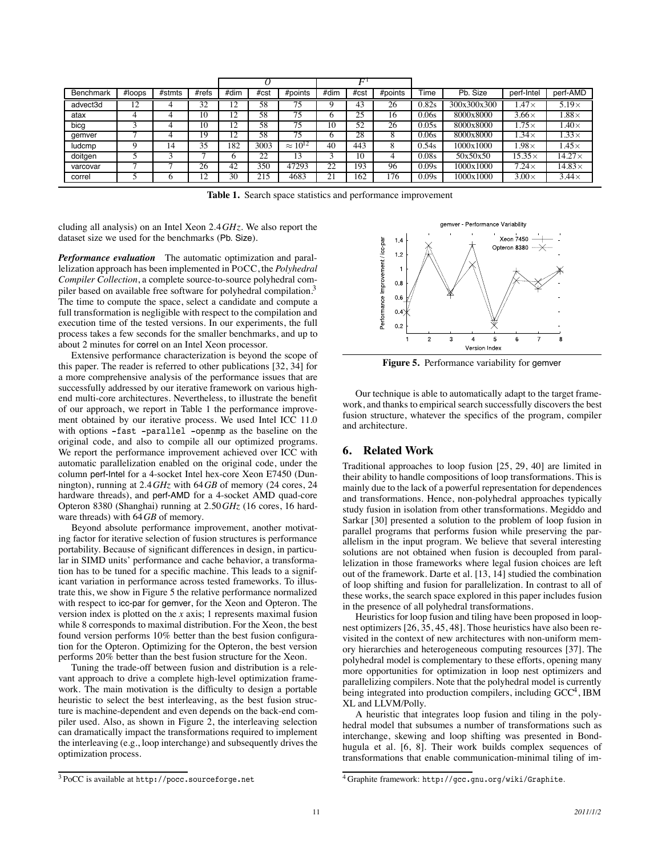|           |                       |        |       |                  |      |                   | $_{\rm Fl}$ |          |         |                    |                      |                     |                          |
|-----------|-----------------------|--------|-------|------------------|------|-------------------|-------------|----------|---------|--------------------|----------------------|---------------------|--------------------------|
| Benchmark | $#$ loops             | #stmts | #refs | #dim             | #cst | #points           | #dim        | #cst     | #points | Time               | Pb. Size             | perf-Intel          | perf-AMD                 |
| advect3d  | 1 າ<br>$\overline{1}$ |        | ے د   | Δ<br>- ⊥         | 58   |                   |             | 43       | 26      | $\overline{0.8}2s$ | 300x300x300          | $\sqrt{.47} \times$ | $5.19\times$             |
| atax      |                       |        | ıυ    | $\bigcap$<br>- 2 | 58   | 75                |             | 25       | 16      | 0.06s              | 8000x8000            | $3.66\times$        | $1.88\times$             |
| bicg      |                       |        | ю     | n<br>- 4         | 58   | 75                | 10          | 50<br>υŽ | 26      | 0.05s              | 8000x8000            | $.75\times$         | $.40\times$              |
| gemver    |                       |        | 19    | ◠<br>. 4         | 58   | 75                |             | 28       | 8       | 0.06s              | 8000x8000            | $.34\times$         | $\overline{1.33} \times$ |
| ludcmp    |                       | 14     | 35    | 182              | 3003 | $\approx 10^{12}$ | 40          | 443      | 8       | 0.54s              | 1000x1000            | .98 $\times$        | $1.45\times$             |
| doitgen   |                       |        |       |                  | 22   | 13                |             | 10       |         | 0.08s              | 50x50x50             | 15.35 $\times$      | $14.27\times$            |
| varcovar  |                       |        | 26    | 42               | 350  | 47293             | າາ<br>∠∠    | 93       | 96      | 0.09s              | $\frac{1000x}{1000}$ | $.24\times$         | $14.83\times$            |
| correl    |                       |        | - ⊥   | 30               | 215  | 4683              | n.<br>4     | 162      | 176     | 0.09s              | 1000x1000            | $3.00\times$        | $3.44\times$             |

**Table 1.** Search space statistics and performance improvement

cluding all analysis) on an Intel Xeon 2.4*GHz*. We also report the dataset size we used for the benchmarks (Pb. Size).

*Performance evaluation* The automatic optimization and parallelization approach has been implemented in POCC, the *Polyhedral Compiler Collection*, a complete source-to-source polyhedral compiler based on available free software for polyhedral compilation.<sup>3</sup> The time to compute the space, select a candidate and compute a full transformation is negligible with respect to the compilation and execution time of the tested versions. In our experiments, the full process takes a few seconds for the smaller benchmarks, and up to about 2 minutes for correl on an Intel Xeon processor.

Extensive performance characterization is beyond the scope of this paper. The reader is referred to other publications [32, 34] for a more comprehensive analysis of the performance issues that are successfully addressed by our iterative framework on various highend multi-core architectures. Nevertheless, to illustrate the benefit of our approach, we report in Table 1 the performance improvement obtained by our iterative process. We used Intel ICC 11.0 with options -fast -parallel -openmp as the baseline on the original code, and also to compile all our optimized programs. We report the performance improvement achieved over ICC with automatic parallelization enabled on the original code, under the column perf-Intel for a 4-socket Intel hex-core Xeon E7450 (Dunnington), running at 2.4*GHz* with 64*GB* of memory (24 cores, 24 hardware threads), and perf-AMD for a 4-socket AMD quad-core Opteron 8380 (Shanghai) running at 2.50*GHz* (16 cores, 16 hardware threads) with 64*GB* of memory.

Beyond absolute performance improvement, another motivating factor for iterative selection of fusion structures is performance portability. Because of significant differences in design, in particular in SIMD units' performance and cache behavior, a transformation has to be tuned for a specific machine. This leads to a significant variation in performance across tested frameworks. To illustrate this, we show in Figure 5 the relative performance normalized with respect to icc-par for gemver, for the Xeon and Opteron. The version index is plotted on the *x* axis; 1 represents maximal fusion while 8 corresponds to maximal distribution. For the Xeon, the best found version performs 10% better than the best fusion configuration for the Opteron. Optimizing for the Opteron, the best version performs 20% better than the best fusion structure for the Xeon.

Tuning the trade-off between fusion and distribution is a relevant approach to drive a complete high-level optimization framework. The main motivation is the difficulty to design a portable heuristic to select the best interleaving, as the best fusion structure is machine-dependent and even depends on the back-end compiler used. Also, as shown in Figure 2, the interleaving selection can dramatically impact the transformations required to implement the interleaving (e.g., loop interchange) and subsequently drives the optimization process.



**Figure 5.** Performance variability for gemver

Our technique is able to automatically adapt to the target framework, and thanks to empirical search successfully discovers the best fusion structure, whatever the specifics of the program, compiler and architecture.

#### **6. Related Work**

Traditional approaches to loop fusion [25, 29, 40] are limited in their ability to handle compositions of loop transformations. This is mainly due to the lack of a powerful representation for dependences and transformations. Hence, non-polyhedral approaches typically study fusion in isolation from other transformations. Megiddo and Sarkar [30] presented a solution to the problem of loop fusion in parallel programs that performs fusion while preserving the parallelism in the input program. We believe that several interesting solutions are not obtained when fusion is decoupled from parallelization in those frameworks where legal fusion choices are left out of the framework. Darte et al. [13, 14] studied the combination of loop shifting and fusion for parallelization. In contrast to all of these works, the search space explored in this paper includes fusion in the presence of all polyhedral transformations.

Heuristics for loop fusion and tiling have been proposed in loopnest optimizers [26, 35, 45, 48]. Those heuristics have also been revisited in the context of new architectures with non-uniform memory hierarchies and heterogeneous computing resources [37]. The polyhedral model is complementary to these efforts, opening many more opportunities for optimization in loop nest optimizers and parallelizing compilers. Note that the polyhedral model is currently being integrated into production compilers, including  $GCC<sup>4</sup>$ , IBM XL and LLVM/Polly.

A heuristic that integrates loop fusion and tiling in the polyhedral model that subsumes a number of transformations such as interchange, skewing and loop shifting was presented in Bondhugula et al. [6, 8]. Their work builds complex sequences of transformations that enable communication-minimal tiling of im-

<sup>3</sup> PoCC is available at http://pocc.sourceforge.net

<sup>4</sup> Graphite framework: http://gcc.gnu.org/wiki/Graphite.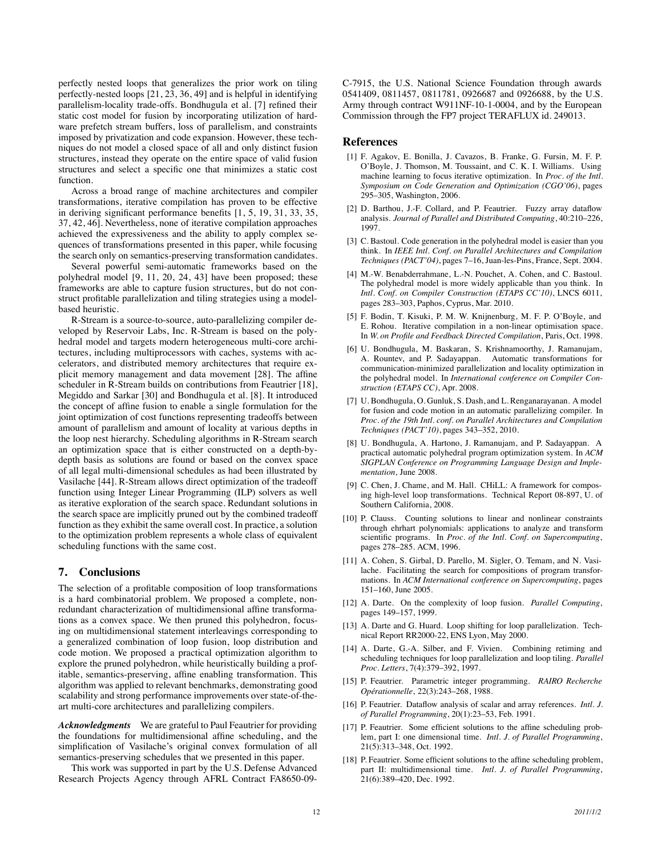perfectly nested loops that generalizes the prior work on tiling perfectly-nested loops [21, 23, 36, 49] and is helpful in identifying parallelism-locality trade-offs. Bondhugula et al. [7] refined their static cost model for fusion by incorporating utilization of hardware prefetch stream buffers, loss of parallelism, and constraints imposed by privatization and code expansion. However, these techniques do not model a closed space of all and only distinct fusion structures, instead they operate on the entire space of valid fusion structures and select a specific one that minimizes a static cost function.

Across a broad range of machine architectures and compiler transformations, iterative compilation has proven to be effective in deriving significant performance benefits [1, 5, 19, 31, 33, 35, 37, 42, 46]. Nevertheless, none of iterative compilation approaches achieved the expressiveness and the ability to apply complex sequences of transformations presented in this paper, while focusing the search only on semantics-preserving transformation candidates.

Several powerful semi-automatic frameworks based on the polyhedral model [9, 11, 20, 24, 43] have been proposed; these frameworks are able to capture fusion structures, but do not construct profitable parallelization and tiling strategies using a modelbased heuristic.

R-Stream is a source-to-source, auto-parallelizing compiler developed by Reservoir Labs, Inc. R-Stream is based on the polyhedral model and targets modern heterogeneous multi-core architectures, including multiprocessors with caches, systems with accelerators, and distributed memory architectures that require explicit memory management and data movement [28]. The affine scheduler in R-Stream builds on contributions from Feautrier [18], Megiddo and Sarkar [30] and Bondhugula et al. [8]. It introduced the concept of affine fusion to enable a single formulation for the joint optimization of cost functions representing tradeoffs between amount of parallelism and amount of locality at various depths in the loop nest hierarchy. Scheduling algorithms in R-Stream search an optimization space that is either constructed on a depth-bydepth basis as solutions are found or based on the convex space of all legal multi-dimensional schedules as had been illustrated by Vasilache [44]. R-Stream allows direct optimization of the tradeoff function using Integer Linear Programming (ILP) solvers as well as iterative exploration of the search space. Redundant solutions in the search space are implicitly pruned out by the combined tradeoff function as they exhibit the same overall cost. In practice, a solution to the optimization problem represents a whole class of equivalent scheduling functions with the same cost.

### **7. Conclusions**

The selection of a profitable composition of loop transformations is a hard combinatorial problem. We proposed a complete, nonredundant characterization of multidimensional affine transformations as a convex space. We then pruned this polyhedron, focusing on multidimensional statement interleavings corresponding to a generalized combination of loop fusion, loop distribution and code motion. We proposed a practical optimization algorithm to explore the pruned polyhedron, while heuristically building a profitable, semantics-preserving, affine enabling transformation. This algorithm was applied to relevant benchmarks, demonstrating good scalability and strong performance improvements over state-of-theart multi-core architectures and parallelizing compilers.

*Acknowledgments* We are grateful to Paul Feautrier for providing the foundations for multidimensional affine scheduling, and the simplification of Vasilache's original convex formulation of all semantics-preserving schedules that we presented in this paper.

This work was supported in part by the U.S. Defense Advanced Research Projects Agency through AFRL Contract FA8650-09C-7915, the U.S. National Science Foundation through awards 0541409, 0811457, 0811781, 0926687 and 0926688, by the U.S. Army through contract W911NF-10-1-0004, and by the European Commission through the FP7 project TERAFLUX id. 249013.

## **References**

- [1] F. Agakov, E. Bonilla, J. Cavazos, B. Franke, G. Fursin, M. F. P. O'Boyle, J. Thomson, M. Toussaint, and C. K. I. Williams. Using machine learning to focus iterative optimization. In *Proc. of the Intl. Symposium on Code Generation and Optimization (CGO'06)*, pages 295–305, Washington, 2006.
- [2] D. Barthou, J.-F. Collard, and P. Feautrier. Fuzzy array dataflow analysis. *Journal of Parallel and Distributed Computing*, 40:210–226, 1997.
- [3] C. Bastoul. Code generation in the polyhedral model is easier than you think. In *IEEE Intl. Conf. on Parallel Architectures and Compilation Techniques (PACT'04)*, pages 7–16, Juan-les-Pins, France, Sept. 2004.
- [4] M.-W. Benabderrahmane, L.-N. Pouchet, A. Cohen, and C. Bastoul. The polyhedral model is more widely applicable than you think. In *Intl. Conf. on Compiler Construction (ETAPS CC'10)*, LNCS 6011, pages 283–303, Paphos, Cyprus, Mar. 2010.
- [5] F. Bodin, T. Kisuki, P. M. W. Knijnenburg, M. F. P. O'Boyle, and E. Rohou. Iterative compilation in a non-linear optimisation space. In *W. on Profile and Feedback Directed Compilation*, Paris, Oct. 1998.
- [6] U. Bondhugula, M. Baskaran, S. Krishnamoorthy, J. Ramanujam, A. Rountev, and P. Sadayappan. Automatic transformations for communication-minimized parallelization and locality optimization in the polyhedral model. In *International conference on Compiler Construction (ETAPS CC)*, Apr. 2008.
- [7] U. Bondhugula, O. Gunluk, S. Dash, and L. Renganarayanan. A model for fusion and code motion in an automatic parallelizing compiler. In *Proc. of the 19th Intl. conf. on Parallel Architectures and Compilation Techniques (PACT'10)*, pages 343–352, 2010.
- [8] U. Bondhugula, A. Hartono, J. Ramanujam, and P. Sadayappan. A practical automatic polyhedral program optimization system. In *ACM SIGPLAN Conference on Programming Language Design and Implementation*, June 2008.
- C. Chen, J. Chame, and M. Hall. CHiLL: A framework for composing high-level loop transformations. Technical Report 08-897, U. of Southern California, 2008.
- [10] P. Clauss. Counting solutions to linear and nonlinear constraints through ehrhart polynomials: applications to analyze and transform scientific programs. In *Proc. of the Intl. Conf. on Supercomputing*, pages 278–285. ACM, 1996.
- [11] A. Cohen, S. Girbal, D. Parello, M. Sigler, O. Temam, and N. Vasilache. Facilitating the search for compositions of program transformations. In *ACM International conference on Supercomputing*, pages 151–160, June 2005.
- [12] A. Darte. On the complexity of loop fusion. *Parallel Computing*, pages 149–157, 1999.
- [13] A. Darte and G. Huard. Loop shifting for loop parallelization. Technical Report RR2000-22, ENS Lyon, May 2000.
- [14] A. Darte, G.-A. Silber, and F. Vivien. Combining retiming and scheduling techniques for loop parallelization and loop tiling. *Parallel Proc. Letters*, 7(4):379–392, 1997.
- [15] P. Feautrier. Parametric integer programming. *RAIRO Recherche Op´erationnelle*, 22(3):243–268, 1988.
- [16] P. Feautrier. Dataflow analysis of scalar and array references. *Intl. J. of Parallel Programming*, 20(1):23–53, Feb. 1991.
- [17] P. Feautrier. Some efficient solutions to the affine scheduling problem, part I: one dimensional time. *Intl. J. of Parallel Programming*, 21(5):313–348, Oct. 1992.
- [18] P. Feautrier. Some efficient solutions to the affine scheduling problem, part II: multidimensional time. *Intl. J. of Parallel Programming*, 21(6):389–420, Dec. 1992.